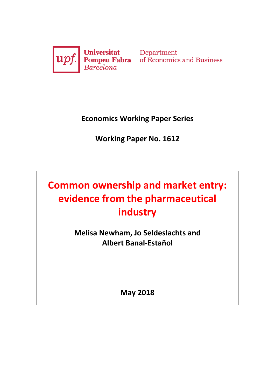

Department of Economics and Business

**Economics Working Paper Series**

**Working Paper No. 1612**

**Common ownership and market entry: evidence from the pharmaceutical industry**

> **Melisa Newham, Jo Seldeslachts and Albert Banal-Estañol**

> > **May 2018**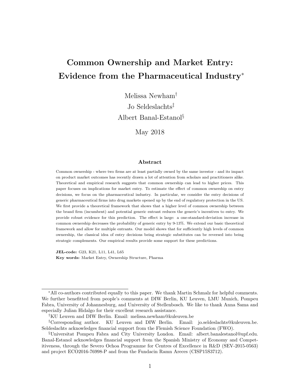# Common Ownership and Market Entry: Evidence from the Pharmaceutical Industry<sup>∗</sup>

Melissa Newham†

Jo Seldeslachts‡

Albert Banal-Estanol§

May 2018

#### Abstract

Common ownership - where two firms are at least partially owned by the same investor - and its impact on product market outcomes has recently drawn a lot of attention from scholars and practitioners alike. Theoretical and empirical research suggests that common ownership can lead to higher prices. This paper focuses on implications for market entry. To estimate the effect of common ownership on entry decisions, we focus on the pharmaceutical industry. In particular, we consider the entry decisions of generic pharmaceutical firms into drug markets opened up by the end of regulatory protection in the US. We first provide a theoretical framework that shows that a higher level of common ownership between the brand firm (incumbent) and potential generic entrant reduces the generic's incentives to entry. We provide robust evidence for this prediction. The effect is large: a one-standard-deviation increase in common ownership decreases the probability of generic entry by 9-13%. We extend our basic theoretical framework and allow for multiple entrants. Our model shows that for sufficiently high levels of common ownership, the classical idea of entry decisions being strategic substitutes can be reversed into being strategic complements. Our empirical results provide some support for these predictions.

JEL-code: G23, K21, L11, L41, L65 Key words: Market Entry, Ownership Structure, Pharma

<sup>∗</sup>All co-authors contributed equally to this paper. We thank Martin Schmalz for helpful comments. We further benefitted from people's comments at DIW Berlin, KU Leuven, LMU Munich, Pompeu Fabra, University of Johannesburg, and University of Stellenbosch. We like to thank Anna Sama and especially Julian Hidalgo for their excellent research assistance.

<sup>†</sup>KU Leuven and DIW Berlin. Email: melissa.newham@kuleuven.be

<sup>‡</sup>Corresponding author. KU Leuven and DIW Berlin. Email: jo.seldeslachts@kuleuven.be. Seldeslachts acknowledges financial support from the Flemish Science Foundation (FWO).

<sup>§</sup>Universitat Pompeu Fabra and City University London. Email: albert.banalestanol@upf.edu. Banal-Estanol acknowledges financial support from the Spanish Ministry of Economy and Competitiveness, through the Severo Ochoa Programme for Centres of Excellence in R&D (SEV-2015-0563) and project ECO2016-76998-P and from the Fundacin Ramn Areces (CISP15S3712).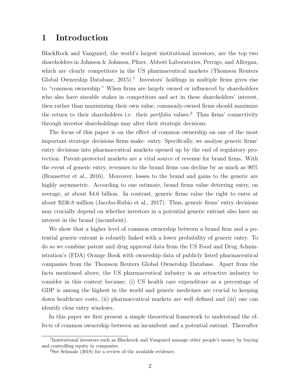## 1 Introduction

BlackRock and Vanguard, the world's largest institutional investors, are the top two shareholders in Johnson & Johnson, Pfizer, Abbott Laboratories, Perrigo, and Allergan, which are clearly competitors in the US pharmaceutical markets (Thomson Reuters Global Ownership Database,  $2015$ <sup>1</sup>. Investors' holdings in multiple firms gives rise to "common ownership." When firms are largely owned or influenced by shareholders who also have sizeable stakes in competitors and act in these shareholders' interest, then rather than maximizing their own value, commonly-owned firms should maximize the return to their shareholders i.e. their *portfolio* values.<sup>2</sup> Thus firms' connectivity through investor shareholdings may alter their strategic decisions.

The focus of this paper is on the effect of common ownership on one of the most important strategic decisions firms make: entry. Specifically, we analyse generic firms' entry decisions into pharmaceutical markets opened up by the end of regulatory protection. Patent-protected markets are a vital source of revenue for brand firms. With the event of generic entry, revenues to the brand firms can decline by as much as 90% (Bransetter et al., 2016). Moreover, losses to the brand and gains to the generic are highly asymmetric. According to one estimate, brand firms value deterring entry, on average, at about \$4.6 billion. In contrast, generic firms value the right to enter at about \$236.8 million (Jacobo-Rubio et al., 2017). Thus, generic firms' entry decisions may crucially depend on whether investors in a potential generic entrant also have an interest in the brand (incumbent).

We show that a higher level of common ownership between a brand firm and a potential generic entrant is robustly linked with a lower probability of generic entry. To do so we combine patent and drug approval data from the US Food and Drug Administration's (FDA) Orange Book with ownership data of publicly listed pharmaceutical companies from the Thomson Reuters Global Ownership Database. Apart from the facts mentioned above, the US pharmaceutical industry is an attractive industry to consider in this context because; (i) US health care expenditure as a percentage of GDP is among the highest in the world and generic medicines are crucial to keeping down healthcare costs, (ii) pharmaceutical markets are well defined and (iii) one can identify clear entry windows.

In this paper we first present a simple theoretical framework to understand the effects of common ownership between an incumbent and a potential entrant. Thereafter

<sup>&</sup>lt;sup>1</sup>Institutional investors such as Blackrock and Vanguard manage other people's money by buying and controlling equity in companies.

<sup>&</sup>lt;sup>2</sup>See Schmalz  $(2018)$  for a review of the available evidence.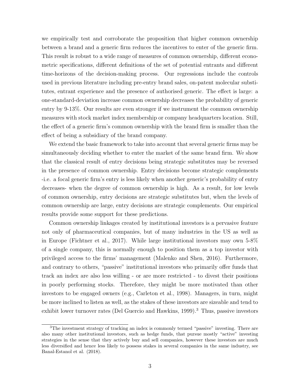we empirically test and corroborate the proposition that higher common ownership between a brand and a generic firm reduces the incentives to enter of the generic firm. This result is robust to a wide range of measures of common ownership, different econometric specifications, different definitions of the set of potential entrants and different time-horizons of the decision-making process. Our regressions include the controls used in previous literature including pre-entry brand sales, on-patent molecular substitutes, entrant experience and the presence of authorised generic. The effect is large: a one-standard-deviation increase common ownership decreases the probability of generic entry by 9-13%. Our results are even stronger if we instrument the common ownership measures with stock market index membership or company headquarters location. Still, the effect of a generic firm's common ownership with the brand firm is smaller than the effect of being a subsidiary of the brand company.

We extend the basic framework to take into account that several generic firms may be simultaneously deciding whether to enter the market of the same brand firm. We show that the classical result of entry decisions being strategic substitutes may be reversed in the presence of common ownership. Entry decisions become strategic complements -i.e. a focal generic firm's entry is less likely when another generic's probability of entry decreases- when the degree of common ownership is high. As a result, for low levels of common ownership, entry decisions are strategic substitutes but, when the levels of common ownership are large, entry decisions are strategic complements. Our empirical results provide some support for these predictions.

Common ownership linkages created by institutional investors is a pervasive feature not only of pharmaceutical companies, but of many industries in the US as well as in Europe (Fichtner et al., 2017). While large institutional investors may own 5-8% of a single company, this is normally enough to position them as a top investor with privileged access to the firms' management (Malenko and Shen, 2016). Furthermore, and contrary to others, "passive" institutional investors who primarily offer funds that track an index are also less willing - or are more restricted - to divest their positions in poorly performing stocks. Therefore, they might be more motivated than other investors to be engaged owners (e.g., Carleton et al., 1998). Managers, in turn, might be more inclined to listen as well, as the stakes of these investors are sizeable and tend to exhibit lower turnover rates (Del Guercio and Hawkins, 1999).<sup>3</sup> Thus, passive investors

<sup>3</sup>The investment strategy of tracking an index is commonly termed "passive" investing. There are also many other institutional investors, such as hedge funds, that pursue mostly "active" investing strategies in the sense that they actively buy and sell companies, however these investors are much less diversified and hence less likely to possess stakes in several companies in the same industry, see Banal-Estanol et al. (2018).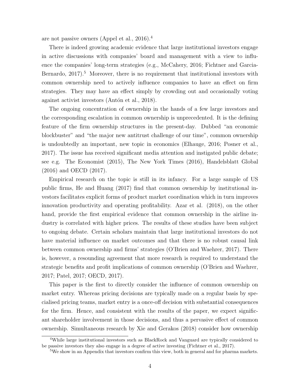are not passive owners (Appel et al., 2016).<sup>4</sup>

There is indeed growing academic evidence that large institutional investors engage in active discussions with companies' board and management with a view to influence the companies' long-term strategies (e.g., McCahery, 2016; Fichtner and Garcia-Bernardo,  $2017$ ).<sup>5</sup> Moreover, there is no requirement that institutional investors with common ownership need to actively influence companies to have an effect on firm strategies. They may have an effect simply by crowding out and occasionally voting against activist investors (Antón et al., 2018).

The ongoing concentration of ownership in the hands of a few large investors and the corresponding escalation in common ownership is unprecedented. It is the defining feature of the firm ownership structures in the present-day. Dubbed "an economic blockbuster" and "the major new antitrust challenge of our time", common ownership is undoubtedly an important, new topic in economics (Elhauge, 2016; Posner et al., 2017). The issue has received significant media attention and instigated public debate; see e.g. The Economist (2015), The New York Times (2016), Handelsblatt Global (2016) and OECD (2017).

Empirical research on the topic is still in its infancy. For a large sample of US public firms, He and Huang (2017) find that common ownership by institutional investors facilitates explicit forms of product market coordination which in turn improves innovation productivity and operating profitability. Azar et al. (2018), on the other hand, provide the first empirical evidence that common ownership in the airline industry is correlated with higher prices. The results of these studies have been subject to ongoing debate. Certain scholars maintain that large institutional investors do not have material influence on market outcomes and that there is no robust causal link between common ownership and firms' strategies (O'Brien and Waehrer, 2017). There is, however, a resounding agreement that more research is required to understand the strategic benefits and profit implications of common ownership (O'Brien and Waehrer, 2017; Patel, 2017; OECD, 2017).

This paper is the first to directly consider the influence of common ownership on market entry. Whereas pricing decisions are typically made on a regular basis by specialised pricing teams, market entry is a once-off decision with substantial consequences for the firm. Hence, and consistent with the results of the paper, we expect significant shareholder involvement in those decisions, and thus a pervasive effect of common ownership. Simultaneous research by Xie and Gerakos (2018) consider how ownership

<sup>&</sup>lt;sup>4</sup>While large institutional investors such as BlackRock and Vanguard are typically considered to be passive investors they also engage in a degree of active investing (Fichtner et al., 2017).

<sup>&</sup>lt;sup>5</sup>We show in an Appendix that investors confirm this view, both in general and for pharma markets.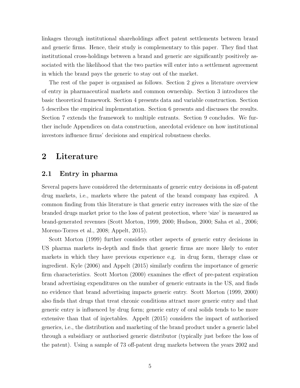linkages through institutional shareholdings affect patent settlements between brand and generic firms. Hence, their study is complementary to this paper. They find that institutional cross-holdings between a brand and generic are significantly positively associated with the likelihood that the two parties will enter into a settlement agreement in which the brand pays the generic to stay out of the market.

The rest of the paper is organised as follows. Section 2 gives a literature overview of entry in pharmaceutical markets and common ownership. Section 3 introduces the basic theoretical framework. Section 4 presents data and variable construction. Section 5 describes the empirical implementation. Section 6 presents and discusses the results. Section 7 extends the framework to multiple entrants. Section 9 concludes. We further include Appendices on data construction, anecdotal evidence on how institutional investors influence firms' decisions and empirical robustness checks.

## 2 Literature

#### 2.1 Entry in pharma

Several papers have considered the determinants of generic entry decisions in off-patent drug markets, i.e., markets where the patent of the brand company has expired. A common finding from this literature is that generic entry increases with the size of the branded drugs market prior to the loss of patent protection, where 'size' is measured as brand-generated revenues (Scott Morton, 1999, 2000; Hudson, 2000; Saha et al., 2006; Moreno-Torres et al., 2008; Appelt, 2015).

Scott Morton (1999) further considers other aspects of generic entry decisions in US pharma markets in-depth and finds that generic firms are more likely to enter markets in which they have previous experience e.g. in drug form, therapy class or ingredient. Kyle (2006) and Appelt (2015) similarly confirm the importance of generic firm characteristics. Scott Morton (2000) examines the effect of pre-patent expiration brand advertising expenditures on the number of generic entrants in the US, and finds no evidence that brand advertising impacts generic entry. Scott Morton (1999, 2000) also finds that drugs that treat chronic conditions attract more generic entry and that generic entry is influenced by drug form; generic entry of oral solids tends to be more extensive than that of injectables. Appelt (2015) considers the impact of authorised generics, i.e., the distribution and marketing of the brand product under a generic label through a subsidiary or authorised generic distributor (typically just before the loss of the patent). Using a sample of 73 off-patent drug markets between the years 2002 and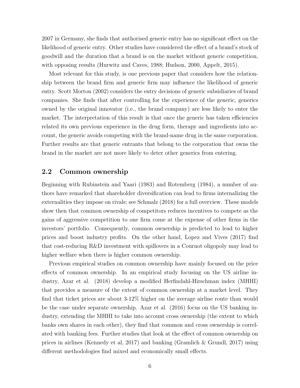2007 in Germany, she finds that authorised generic entry has no significant effect on the likelihood of generic entry. Other studies have considered the effect of a brand's stock of goodwill and the duration that a brand is on the market without generic competition, with opposing results (Hurwitz and Caves, 1988; Hudson, 2000, Appelt, 2015).

Most relevant for this study, is one previous paper that considers how the relationship between the brand firm and generic firm may influence the likelihood of generic entry. Scott Morton (2002) considers the entry decisions of generic subsidiaries of brand companies. She finds that after controlling for the experience of the generic, generics owned by the original innovator (i.e., the brand company) are less likely to enter the market. The interpretation of this result is that once the generic has taken efficiencies related its own previous experience in the drug form, therapy and ingredients into account, the generic avoids competing with the brand-name drug in the same corporation. Further results are that generic entrants that belong to the corporation that owns the brand in the market are not more likely to deter other generics from entering.

#### 2.2 Common ownership

Beginning with Rubinstein and Yaari (1983) and Rotemberg (1984), a number of authors have remarked that shareholder diversification can lead to firms internalizing the externalities they impose on rivals; see Schmalz (2018) for a full overview. These models show then that common ownership of competitors reduces incentives to compete as the gains of aggressive competition to one firm come at the expense of other firms in the investors' portfolio. Consequently, common ownership is predicted to lead to higher prices and boost industry profits. On the other hand, Lopez and Vives (2017) find that cost-reducing R&D investment with spillovers in a Cournot oligopoly may lead to higher welfare when there is higher common ownership.

Previous empirical studies on common ownership have mainly focused on the price effects of common ownership. In an empirical study focusing on the US airline industry, Azar et al. (2018) develop a modified Herfindahl-Hirschman index (MHHI) that provides a measure of the extent of common ownership at a market level. They find that ticket prices are about 3-12% higher on the average airline route than would be the case under separate ownership. Azar et al. (2016) focus on the US banking industry, extending the MHHI to take into account cross ownership (the extent to which banks own shares in each other), they find that common and cross ownership is correlated with banking fees. Further studies that look at the effect of common ownership on prices in airlines (Kennedy et al, 2017) and banking (Gramlich & Grundl, 2017) using different methodologies find mixed and economically small effects.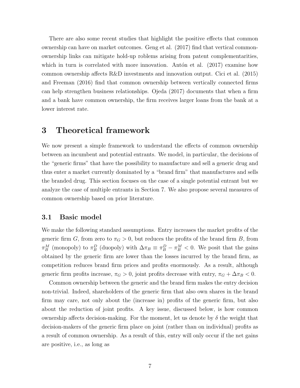There are also some recent studies that highlight the positive effects that common ownership can have on market outcomes. Geng et al. (2017) find that vertical commonownership links can mitigate hold-up roblems arising from patent complementarities, which in turn is correlated with more innovation. Antón et al.  $(2017)$  examine how common ownership affects R&D investments and innovation output. Cici et al. (2015) and Freeman (2016) find that common ownership between vertically connected firms can help strengthen business relationships. Ojeda (2017) documents that when a firm and a bank have common ownership, the firm receives larger loans from the bank at a lower interest rate.

## 3 Theoretical framework

We now present a simple framework to understand the effects of common ownership between an incumbent and potential entrants. We model, in particular, the decisions of the "generic firms" that have the possibility to manufacture and sell a generic drug and thus enter a market currently dominated by a "brand firm" that manufactures and sells the branded drug. This section focuses on the case of a single potential entrant but we analyze the case of multiple entrants in Section 7. We also propose several measures of common ownership based on prior literature.

#### 3.1 Basic model

We make the following standard assumptions. Entry increases the market profits of the generic firm G, from zero to  $\pi_G > 0$ , but reduces the profits of the brand firm B, from  $\pi_B^M$  (monopoly) to  $\pi_B^D$  (duopoly) with  $\Delta \pi_B \equiv \pi_B^D - \pi_B^M < 0$ . We posit that the gains obtained by the generic firm are lower than the losses incurred by the brand firm, as competition reduces brand firm prices and profits enormously. As a result, although generic firm profits increase,  $\pi_G > 0$ , joint profits decrease with entry,  $\pi_G + \Delta \pi_B < 0$ .

Common ownership between the generic and the brand firm makes the entry decision non-trivial. Indeed, shareholders of the generic firm that also own shares in the brand firm may care, not only about the (increase in) profits of the generic firm, but also about the reduction of joint profits. A key issue, discussed below, is how common ownership affects decision-making. For the moment, let us denote by  $\delta$  the weight that decision-makers of the generic firm place on joint (rather than on individual) profits as a result of common ownership. As a result of this, entry will only occur if the net gains are positive, i.e., as long as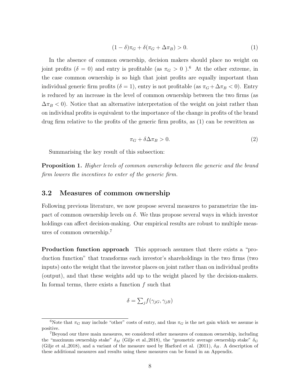$$
(1 - \delta)\pi_G + \delta(\pi_G + \Delta \pi_B) > 0. \tag{1}
$$

In the absence of common ownership, decision makers should place no weight on joint profits ( $\delta = 0$ ) and entry is profitable (as  $\pi_G > 0$ ).<sup>6</sup> At the other extreme, in the case common ownership is so high that joint profits are equally important than individual generic firm profits ( $\delta = 1$ ), entry is not profitable (as  $\pi_G + \Delta \pi_B < 0$ ). Entry is reduced by an increase in the level of common ownership between the two firms (as  $\Delta \pi_B$  < 0). Notice that an alternative interpretation of the weight on joint rather than on individual profits is equivalent to the importance of the change in profits of the brand drug firm relative to the profits of the generic firm profits, as (1) can be rewritten as

$$
\pi_G + \delta \Delta \pi_B > 0. \tag{2}
$$

Summarising the key result of this subsection:

Proposition 1. Higher levels of common ownership between the generic and the brand firm lowers the incentives to enter of the generic firm.

## 3.2 Measures of common ownership

Following previous literature, we now propose several measures to parametrize the impact of common ownership levels on  $\delta$ . We thus propose several ways in which investor holdings can affect decision-making. Our empirical results are robust to multiple measures of common ownership.<sup>7</sup>

Production function approach This approach assumes that there exists a "production function" that transforms each investor's shareholdings in the two firms (two inputs) onto the weight that the investor places on joint rather than on individual profits (output), and that these weights add up to the weight placed by the decision-makers. In formal terms, there exists a function  $f$  such that

$$
\delta = \sum_{j} f(\gamma_{jG}, \gamma_{jB})
$$

<sup>&</sup>lt;sup>6</sup>Note that  $\pi_G$  may include "other" costs of entry, and thus  $\pi_G$  is the net gain which we assume is positive.

<sup>7</sup>Beyond our three main measures, we considered other measures of common ownership, including the "maximum ownership stake"  $\delta_M$  (Gilje et al., 2018), the "geometric average ownership stake"  $\delta_G$ (Gilje et al., 2018), and a variant of the measure used by Harford et al. (2011),  $\delta_H$ . A description of these additional measures and results using these measures can be found in an Appendix.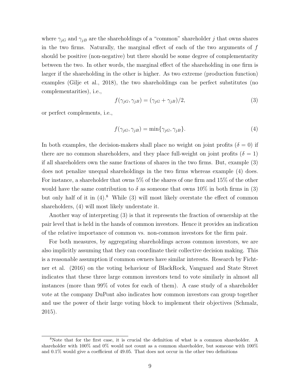where  $\gamma_{iG}$  and  $\gamma_{iB}$  are the shareholdings of a "common" shareholder j that owns shares in the two firms. Naturally, the marginal effect of each of the two arguments of  $f$ should be positive (non-negative) but there should be some degree of complementarity between the two. In other words, the marginal effect of the shareholding in one firm is larger if the shareholding in the other is higher. As two extreme (production function) examples (Gilje et al., 2018), the two shareholdings can be perfect substitutes (no complementarities), i.e.,

$$
f(\gamma_{jG}, \gamma_{jB}) = (\gamma_{jG} + \gamma_{jB})/2,\tag{3}
$$

or perfect complements, i.e.,

$$
f(\gamma_{jG}, \gamma_{jB}) = \min\{\gamma_{jG}, \gamma_{jB}\}.
$$
\n(4)

In both examples, the decision-makers shall place no weight on joint profits  $(\delta = 0)$  if there are no common shareholders, and they place full-weight on joint profits ( $\delta = 1$ ) if all shareholders own the same fractions of shares in the two firms. But, example (3) does not penalize unequal shareholdings in the two firms whereas example (4) does. For instance, a shareholder that owns 5% of the shares of one firm and 15% of the other would have the same contribution to  $\delta$  as someone that owns 10% in both firms in (3) but only half of it in  $(4)$ .<sup>8</sup> While  $(3)$  will most likely overstate the effect of common shareholders, (4) will most likely understate it.

Another way of interpreting (3) is that it represents the fraction of ownership at the pair level that is held in the hands of common investors. Hence it provides an indication of the relative importance of common vs. non-common investors for the firm pair.

For both measures, by aggregating shareholdings across common investors, we are also implicitly assuming that they can coordinate their collective decision making. This is a reasonable assumption if common owners have similar interests. Research by Fichtner et al. (2016) on the voting behaviour of BlackRock, Vanguard and State Street indicates that these three large common investors tend to vote similarly in almost all instances (more than 99% of votes for each of them). A case study of a shareholder vote at the company DuPont also indicates how common investors can group together and use the power of their large voting block to implement their objectives (Schmalz, 2015).

<sup>8</sup>Note that for the first case, it is crucial the definition of what is a common shareholder. A shareholder with 100% and 0% would not count as a common shareholder, but someone with 100% and 0.1% would give a coefficient of 49.05. That does not occur in the other two definitions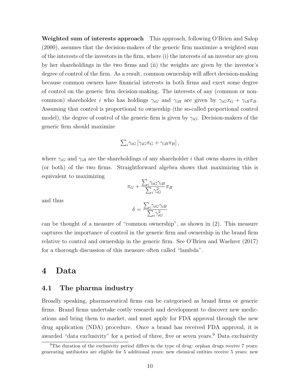Weighted sum of interests approach This approach, following O'Brien and Salop (2000), assumes that the decision-makers of the generic firm maximize a weighted sum of the interests of the investors in the firm, where (i) the interests of an investor are given by her shareholdings in the two firms and (ii) the weights are given by the investor's degree of control of the firm. As a result, common ownership will affect decision-making because common owners have financial interests in both firms and exert some degree of control on the generic firm decision-making. The interests of any (common or noncommon) shareholder *i* who has holdings  $\gamma_{iG}$  and  $\gamma_{iB}$  are given by  $\gamma_{iG}\pi_G + \gamma_{iB}\pi_B$ . Assuming that control is proportional to ownership (the so-called proportional control model), the degree of control of the generic firm is given by  $\gamma_{iG}$ . Decision-makers of the generic firm should maximize

$$
\sum_{i} \gamma_{iG} \left[ \gamma_{iG} \pi_G + \gamma_{iB} \pi_B \right],
$$

where  $\gamma_{iG}$  and  $\gamma_{iB}$  are the shareholdings of any shareholder *i* that owns shares in either (or both) of the two firms. Straightforward algebra shows that maximizing this is equivalent to maximizing  $\sum_i$ 

 $\pi_G +$ 

and thus

$$
\delta = \frac{\sum_{i} \gamma_{iG} \gamma_{iB}}{\sum_{i} \gamma_{iG}^2}
$$

 $\sum$ 

 $\gamma_{iG}\gamma_{iB}$  $i \gamma_{iG}^2$ 

 $\pi_B$ 

can be thought of a measure of "common ownership", as shown in (2). This measure captures the importance of control in the generic firm and ownership in the brand firm relative to control and ownership in the generic firm. See O'Brien and Waehrer (2017) for a thorough discussion of this measure often called "lambda".

## 4 Data

#### 4.1 The pharma industry

Broadly speaking, pharmaceutical firms can be categorised as brand firms or generic firms. Brand firms undertake costly research and development to discover new medications and bring them to market, and must apply for FDA approval through the new drug application (NDA) procedure. Once a brand has received FDA approval, it is awarded "data exclusivity" for a period of three, five or seven years.<sup>9</sup> Data exclusivity

<sup>&</sup>lt;sup>9</sup>The duration of the exclusivity period differs in the type of drug: orphan drugs receive 7 years; generating antibiotics are eligible for 5 additional years; new chemical entities receive 5 years; new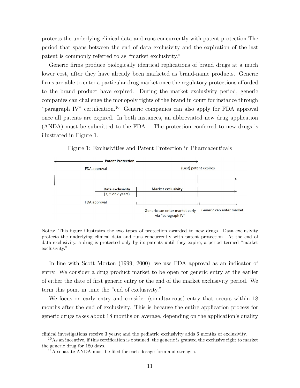protects the underlying clinical data and runs concurrently with patent protection The period that spans between the end of data exclusivity and the expiration of the last patent is commonly referred to as "market exclusivity."

Generic firms produce biologically identical replications of brand drugs at a much lower cost, after they have already been marketed as brand-name products. Generic firms are able to enter a particular drug market once the regulatory protections afforded to the brand product have expired. During the market exclusivity period, generic companies can challenge the monopoly rights of the brand in court for instance through "paragraph IV" certification.<sup>10</sup> Generic companies can also apply for FDA approval once all patents are expired. In both instances, an abbreviated new drug application  $(ANDA)$  must be submitted to the FDA.<sup>11</sup> The protection conferred to new drugs is illustrated in Figure 1.

Figure 1: Exclusivities and Patent Protection in Pharmaceuticals



Notes: This figure illustrates the two types of protection awarded to new drugs. Data exclusivity protects the underlying clinical data and runs concurrently with patent protection. At the end of data exclusivity, a drug is protected only by its patents until they expire, a period termed "market exclusivity."

In line with Scott Morton (1999, 2000), we use FDA approval as an indicator of entry. We consider a drug product market to be open for generic entry at the earlier of either the date of first generic entry or the end of the market exclusivity period. We term this point in time the "end of exclusivity."

We focus on early entry and consider (simultaneous) entry that occurs within 18 months after the end of exclusivity. This is because the entire application process for generic drugs takes about 18 months on average, depending on the application's quality

clinical investigations receive 3 years; and the pediatric exclusivity adds 6 months of exclusivity.

<sup>&</sup>lt;sup>10</sup>As an incentive, if this certification is obtained, the generic is granted the exclusive right to market the generic drug for 180 days.

 $11$ <sup>A</sup> separate ANDA must be filed for each dosage form and strength.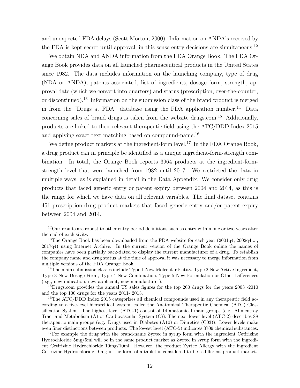and unexpected FDA delays (Scott Morton, 2000). Information on ANDA's received by the FDA is kept secret until approval; in this sense entry decisions are simultaneous.<sup>12</sup>

We obtain NDA and ANDA information from the FDA Orange Book. The FDA Orange Book provides data on all launched pharmaceutical products in the United States since 1982. The data includes information on the launching company, type of drug (NDA or ANDA), patents associated, list of ingredients, dosage form, strength, approval date (which we convert into quarters) and status (prescription, over-the-counter, or discontinued).<sup>13</sup> Information on the submission class of the brand product is merged in from the "Drugs at FDA" database using the FDA application number.<sup>14</sup> Data concerning sales of brand drugs is taken from the website drugs.com.<sup>15</sup> Additionally, products are linked to their relevant therapeutic field using the ATC/DDD Index 2015 and applying exact text matching based on compound-name.<sup>16</sup>

We define product markets at the ingredient-form level.<sup>17</sup> In the FDA Orange Book, a drug product can in principle be identified as a unique ingredient-form-strength combination. In total, the Orange Book reports 3964 products at the ingredient-formstrength level that were launched from 1982 until 2017. We restricted the data in multiple ways, as is explained in detail in the Data Appendix. We consider only drug products that faced generic entry or patent expiry between 2004 and 2014, as this is the range for which we have data on all relevant variables. The final dataset contains 451 prescription drug product markets that faced generic entry and/or patent expiry between 2004 and 2014.

<sup>12</sup>Our results are robust to other entry period definitions such as entry within one or two years after the end of exclusivity.

<sup>&</sup>lt;sup>13</sup>The Orange Book has been downloaded from the FDA website for each year  $(2001q4, 2002q4,...,$ 2017q4) using Internet Archive. In the current version of the Orange Book online the names of companies have been partially back-dated to display the current manufacturer of a drug. To establish the company name and drug status at the time of approval it was necessary to merge information from multiple versions of the FDA Orange Book.

 $14$ The main submission classes include Type 1 New Molecular Entity, Type 2 New Active Ingredient, Type 3 New Dosage Form, Type 4 New Combination, Type 5 New Formulation or Other Differences (e.g., new indication, new applicant, new manufacturer).

<sup>&</sup>lt;sup>15</sup>Drugs.com provides the annual US sales figures for the top 200 drugs for the years 2003 -2010 and the top 100 drugs for the years 2011- 2013.

<sup>&</sup>lt;sup>16</sup>The ATC/DDD Index 2015 categorizes all chemical compounds used in any therapeutic field according to a five-level hierarchical system, called the Anatomical Therapeutic Chemical (ATC) Classification System. The highest level (ATC-1) consist of 14 anatomical main groups (e.g. Alimentray Tract and Metabolism (A) or Cardiovascular System (C)). The next lower level (ATC-2) describes 88 therapeutic main groups (e.g. Drugs used in Diabetes (A10) or Diuretics (C03)). Lower levels make even finer distinctions between products. The lowest level (ATC-5) indicates 3709 chemical substances.

 $17$ For example the drug with the brand-name Zyrtec in syrup form with the ingredient Cetirizine Hydrochloride 5mg/5ml will be in the same product market as Zyrtec in syrup form with the ingredient Cetirizine Hydrochloride 10mg/10ml. However, the product Zyrtec Allergy with the ingredient Cetirizine Hydrochloride 10mg in the form of a tablet is considered to be a different product market.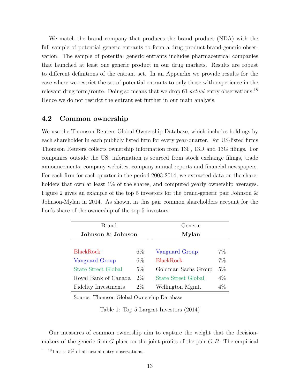We match the brand company that produces the brand product (NDA) with the full sample of potential generic entrants to form a drug product-brand-generic observation. The sample of potential generic entrants includes pharmaceutical companies that launched at least one generic product in our drug markets. Results are robust to different definitions of the entrant set. In an Appendix we provide results for the case where we restrict the set of potential entrants to only those with experience in the relevant drug form/route. Doing so means that we drop 61 *actual* entry observations.<sup>18</sup> Hence we do not restrict the entrant set further in our main analysis.

### 4.2 Common ownership

We use the Thomson Reuters Global Ownership Database, which includes holdings by each shareholder in each publicly listed firm for every year-quarter. For US-listed firms Thomson Reuters collects ownership information from 13F, 13D and 13G filings. For companies outside the US, information is sourced from stock exchange filings, trade announcements, company websites, company annual reports and financial newspapers. For each firm for each quarter in the period 2003-2014, we extracted data on the shareholders that own at least  $1\%$  of the shares, and computed yearly ownership averages. Figure 2 gives an example of the top 5 investors for the brand-generic pair Johnson & Johnson-Mylan in 2014. As shown, in this pair common shareholders account for the lion's share of the ownership of the top 5 investors.

| Brand                       |       | Generic             |       |  |  |
|-----------------------------|-------|---------------------|-------|--|--|
| Johnson & Johnson           |       | Mylan               |       |  |  |
|                             |       |                     |       |  |  |
| <b>BlackRock</b>            | $6\%$ | Vanguard Group      | $7\%$ |  |  |
| Vanguard Group              | $6\%$ | <b>BlackRock</b>    | 7%    |  |  |
| <b>State Street Global</b>  | $5\%$ | Goldman Sachs Group | $5\%$ |  |  |
| Royal Bank of Canada        | $2\%$ | State Street Global | $4\%$ |  |  |
| <b>Fidelity Investments</b> | $2\%$ | Wellington Mgmt.    | $4\%$ |  |  |

Source: Thomson Global Ownership Database

Table 1: Top 5 Largest Investors (2014)

Our measures of common ownership aim to capture the weight that the decisionmakers of the generic firm  $G$  place on the joint profits of the pair  $G$ -B. The empirical

 $^{18}\mathrm{This}$  is 5% of all actual entry observations.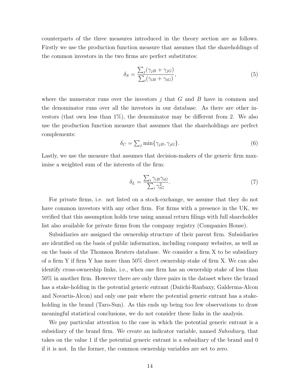counterparts of the three measures introduced in the theory section are as follows. Firstly we use the production function measure that assumes that the shareholdings of the common investors in the two firms are perfect substitutes:

$$
\delta_S = \frac{\sum_j (\gamma_{jB} + \gamma_{jG})}{\sum_i (\gamma_{iB} + \gamma_{iG})},\tag{5}
$$

where the numerator runs over the investors  $j$  that  $G$  and  $B$  have in common and the denominator runs over all the investors in our database. As there are other investors (that own less than  $1\%$ ), the denominator may be different from 2. We also use the production function measure that assumes that the shareholdings are perfect complements:

$$
\delta_C = \sum_j \min \{ \gamma_{jB}, \gamma_{jG} \}. \tag{6}
$$

Lastly, we use the measure that assumes that decision-makers of the generic firm maximise a weighted sum of the interests of the firm:

$$
\delta_L = \frac{\sum_i \gamma_{iB} \gamma_{iG}}{\sum_i \gamma_{iG}^2}.\tag{7}
$$

For private firms, i.e. not listed on a stock-exchange, we assume that they do not have common investors with any other firm. For firms with a presence in the UK, we verified that this assumption holds true using annual return filings with full shareholder list also available for private firms from the company registry (Companies House).

Subsidiaries are assigned the ownership structure of their parent firm. Subsidiaries are identified on the basis of public information, including company websites, as well as on the basis of the Thomson Reuters database. We consider a firm X to be subsidiary of a firm Y if firm Y has more than 50% direct ownership stake of firm X. We can also identify cross-ownership links, i.e., when one firm has an ownership stake of less than 50% in another firm. However there are only three pairs in the dataset where the brand has a stake-holding in the potential generic entrant (Daiichi-Ranbaxy, Galderma-Alcon and Novartis-Alcon) and only one pair where the potential generic entrant has a stakeholding in the brand (Taro-Sun). As this ends up being too few observations to draw meaningful statistical conclusions, we do not consider these links in the analysis.

We pay particular attention to the case in which the potential generic entrant is a subsidiary of the brand firm. We create an indicator variable, named Subsidiary, that takes on the value 1 if the potential generic entrant is a subsidiary of the brand and 0 if it is not. In the former, the common ownership variables are set to zero.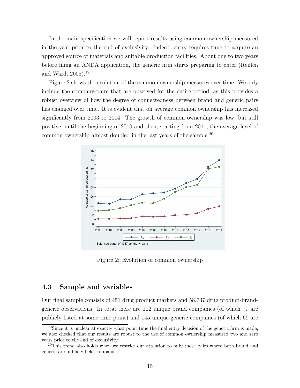In the main specification we will report results using common ownership measured in the year prior to the end of exclusivity. Indeed, entry requires time to acquire an approved source of materials and suitable production facilities. About one to two years before filing an ANDA application, the generic firm starts preparing to enter (Reiffen and Ward, 2005).<sup>19</sup>

Figure 2 shows the evolution of the common ownership measures over time. We only include the company-pairs that are observed for the entire period, as this provides a robust overview of how the degree of connectedness between brand and generic pairs has changed over time. It is evident that on average common ownership has increased significantly from 2003 to 2014. The growth of common ownership was low, but still positive, until the beginning of 2010 and then, starting from 2011, the average level of common ownership almost doubled in the last years of the sample.<sup>20</sup>



Figure 2: Evolution of common ownership

### 4.3 Sample and variables

Our final sample consists of 451 drug product markets and 58,737 drug product-brandgeneric observations. In total there are 102 unique brand companies (of which 77 are publicly listed at some time point) and 145 unique generic companies (of which 69 are

<sup>&</sup>lt;sup>19</sup>Since it is unclear at exactly what point time the final entry decision of the generic firm is made, we also checked that our results are robust to the use of common ownership measured two and zero years prior to the end of exclusivity.

 $^{20}$ This trend also holds when we restrict our attention to only those pairs where both brand and generic are publicly held companies.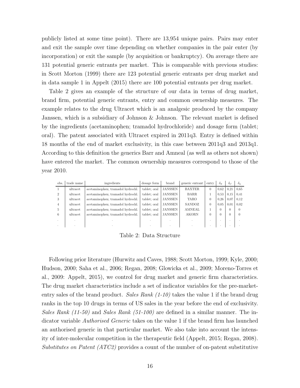publicly listed at some time point). There are 13,954 unique pairs. Pairs may enter and exit the sample over time depending on whether companies in the pair enter (by incorporation) or exit the sample (by acquisition or bankruptcy). On average there are 131 potential generic entrants per market. This is comparable with previous studies: in Scott Morton (1999) there are 123 potential generic entrants per drug market and in data sample 1 in Appelt (2015) there are 100 potential entrants per drug market.

Table 2 gives an example of the structure of our data in terms of drug market, brand firm, potential generic entrants, entry and common ownership measures. The example relates to the drug Ultracet which is an analgesic produced by the company Janssen, which is a subsidiary of Johnson & Johnson. The relevant market is defined by the ingredients (acetaminophen; tramadol hydrochloride) and dosage form (tablet; oral). The patent associated with Ultracet expired in 2011q3. Entry is defined within 18 months of the end of market exclusivity, in this case between 2011q3 and 2013q1. According to this definition the generics Barr and Amneal (as well as others not shown) have entered the market. The common ownership measures correspond to those of the year 2010.

| obs.           | trade name | ingredients                       | dosage form  | brand   | generic entrant | entry    | $\delta_S$ | $\mathcal{O}_C$ | $\delta_L$ |
|----------------|------------|-----------------------------------|--------------|---------|-----------------|----------|------------|-----------------|------------|
|                | ultracet   | acetaminophen; tramadol hydrochl. | tablet: oral | JANSSEN | <b>BAXTER</b>   | $\Omega$ | 0.62       | 0.21            | 0.65       |
| $\mathcal{D}$  | ultracet   | acetaminophen; tramadol hydrochl. | tablet: oral | JANSSEN | <b>BARR</b>     |          | 0.53       | 0.15            | 0.41       |
| 3              | ultracet   | acetaminophen; tramadol hydrochl. | tablet: oral | JANSSEN | TARO            | 0        | 0.26       | 0.07            | 0.12       |
| $\overline{4}$ | ultracet   | acetaminophen; tramadol hydrochl. | tablet: oral | JANSSEN | SANDOZ          | $\Omega$ | 0.05       | 0.01            | 0.02       |
| 5              | ultracet   | acetaminophen; tramadol hydrochl. | tablet: oral | JANSSEN | AMNEAL          |          | $\Omega$   |                 | $\left($   |
| 6              | ultracet   | acetaminophen; tramadol hydrochl. | tablet: oral | JANSSEN | <b>AKORN</b>    | 0        | $\Omega$   |                 | $\Omega$   |
|                |            |                                   |              |         |                 |          |            |                 |            |
|                |            |                                   |              | л.      |                 |          |            |                 |            |

Table 2: Data Structure

Following prior literature (Hurwitz and Caves, 1988; Scott Morton, 1999; Kyle, 2000; Hudson, 2000; Saha et al., 2006; Regan, 2008; Glowicka et al., 2009; Moreno-Torres et al., 2009: Appelt, 2015), we control for drug market and generic firm characteristics. The drug market characteristics include a set of indicator variables for the pre-marketentry sales of the brand product. Sales Rank  $(1-10)$  takes the value 1 if the brand drug ranks in the top 10 drugs in terms of US sales in the year before the end of exclusivity. Sales Rank  $(11-50)$  and Sales Rank  $(51-100)$  are defined in a similar manner. The indicator variable Authorised Generic takes on the value 1 if the brand firm has launched an authorised generic in that particular market. We also take into account the intensity of inter-molecular competition in the therapeutic field (Appelt, 2015; Regan, 2008). Substitutes on Patent (ATC2) provides a count of the number of on-patent substitutive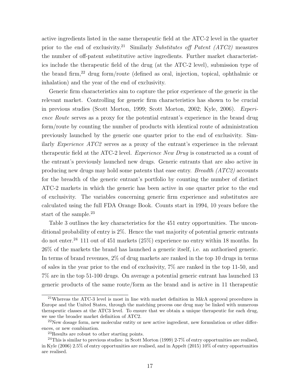active ingredients listed in the same therapeutic field at the ATC-2 level in the quarter prior to the end of exclusivity.<sup>21</sup> Similarly Substitutes off Patent (ATC2) measures the number of off-patent substitutive active ingredients. Further market characteristics include the therapeutic field of the drug (at the ATC-2 level), submission type of the brand firm,<sup>22</sup> drug form/route (defined as oral, injection, topical, ophthalmic or inhalation) and the year of the end of exclusivity.

Generic firm characteristics aim to capture the prior experience of the generic in the relevant market. Controlling for generic firm characteristics has shown to be crucial in previous studies (Scott Morton, 1999; Scott Morton, 2002; Kyle, 2006). Experience Route serves as a proxy for the potential entrant's experience in the brand drug form/route by counting the number of products with identical route of administration previously launched by the generic one quarter prior to the end of exclusivity. Similarly Experience ATC2 serves as a proxy of the entrant's experience in the relevant therapeutic field at the ATC-2 level. *Experience New Drug* is constructed as a count of the entrant's previously launched new drugs. Generic entrants that are also active in producing new drugs may hold some patents that ease entry. Breadth (ATC2) accounts for the breadth of the generic entrant's portfolio by counting the number of distinct ATC-2 markets in which the generic has been active in one quarter prior to the end of exclusivity. The variables concerning generic firm experience and substitutes are calculated using the full FDA Orange Book. Counts start in 1994, 10 years before the start of the sample.<sup>23</sup>

Table 3 outlines the key characteristics for the 451 entry opportunities. The unconditional probability of entry is  $2\%$ . Hence the vast majority of potential generic entrants do not enter.<sup>24</sup> 111 out of 451 markets (25%) experience no entry within 18 months. In 26% of the markets the brand has launched a generic itself, i.e. an authorised generic. In terms of brand revenues, 2% of drug markets are ranked in the top 10 drugs in terms of sales in the year prior to the end of exclusivity, 7% are ranked in the top 11-50, and 7% are in the top 51-100 drugs. On average a potential generic entrant has launched 13 generic products of the same route/form as the brand and is active in 11 therapeutic

<sup>21</sup>Whereas the ATC-3 level is most in line with market definition in M&A approval procedures in Europe and the United States, through the matching process one drug may be linked with numerous therapeutic classes at the ATC3 level. To ensure that we obtain a unique therapeutic for each drug, we use the broader market definition of ATC2.

 $^{22}$ New dosage form, new molecular entity or new active ingredient, new formulation or other differences, or new combination.

<sup>23</sup>Results are robust to other starting points.

 $24$ This is similar to previous studies: in Scott Morton (1999) 2-7% of entry opportunities are realised, in Kyle (2006) 2.5% of entry opportunities are realised, and in Appelt (2015) 10% of entry opportunities are realised.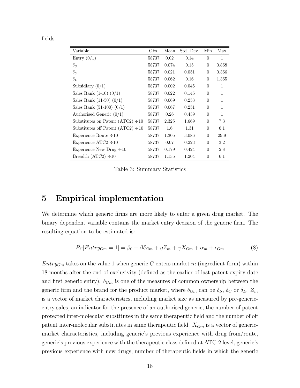| ı | ſ |
|---|---|
|   |   |

| Variable                                | Obs.  | Mean  | Std. Dev. | Min            | Max   |
|-----------------------------------------|-------|-------|-----------|----------------|-------|
| Entry $(0/1)$                           | 58737 | 0.02  | 0.14      | $\overline{0}$ | 1     |
| $\delta_S$                              | 58737 | 0.074 | 0.15      | $\theta$       | 0.868 |
| $\delta_C$                              | 58737 | 0.021 | 0.051     | $\Omega$       | 0.366 |
| $\delta_L$                              | 58737 | 0.062 | 0.16      | $\Omega$       | 1.365 |
| Subsidiary $(0/1)$                      | 58737 | 0.002 | 0.045     | $\theta$       | 1     |
| Sales Rank $(1-10)$ $(0/1)$             | 58737 | 0.022 | 0.146     | $\Omega$       | 1     |
| Sales Rank $(11-50)$ $(0/1)$            | 58737 | 0.069 | 0.253     | $\Omega$       | 1     |
| Sales Rank $(51-100)$ $(0/1)$           | 58737 | 0.067 | 0.251     | $\theta$       | 1     |
| Authorised Generic $(0/1)$              | 58737 | 0.26  | 0.439     | $\theta$       | 1     |
| Substitutes on Patent (ATC2) $\div 10$  | 58737 | 2.325 | 1.669     | $\Omega$       | 7.3   |
| Substitutes off Patent (ATC2) $\div 10$ | 58737 | 1.6   | 1.31      | $\theta$       | 6.1   |
| Experience Route $\div 10$              | 58737 | 1.305 | 3.086     | $\Omega$       | 29.9  |
| Experience $ATC2 \div 10$               | 58737 | 0.07  | 0.223     | $\Omega$       | 3.2   |
| Experience New Drug $\div 10$           | 58737 | 0.179 | 0.424     | $\theta$       | 2.8   |
| Breadth $(ATC2) \div 10$                | 58737 | 1.135 | 1.204     | $\theta$       | 6.1   |

Table 3: Summary Statistics

## 5 Empirical implementation

We determine which generic firms are more likely to enter a given drug market. The binary dependent variable contains the market entry decision of the generic firm. The resulting equation to be estimated is:

$$
Pr[Entry_{Gm} = 1] = \beta_0 + \beta\delta_{Gm} + \eta Z_m + \gamma X_{Gm} + \alpha_m + \epsilon_{Gm} \tag{8}
$$

 $Entry_{Gm}$  takes on the value 1 when generic G enters market m (ingredient-form) within 18 months after the end of exclusivity (defined as the earlier of last patent expiry date and first generic entry).  $\delta_{G_m}$  is one of the measures of common ownership between the generic firm and the brand for the product market, where  $\delta_{G_m}$  can be  $\delta_S$ ,  $\delta_C$  or  $\delta_L$ .  $Z_m$ is a vector of market characteristics, including market size as measured by pre-genericentry sales, an indicator for the presence of an authorised generic, the number of patent protected inter-molecular substitutes in the same therapeutic field and the number of off patent inter-molecular substitutes in same therapeutic field.  $X_{G_m}$  is a vector of genericmarket characteristics, including generic's previous experience with drug from/route, generic's previous experience with the therapeutic class defined at ATC-2 level, generic's previous experience with new drugs, number of therapeutic fields in which the generic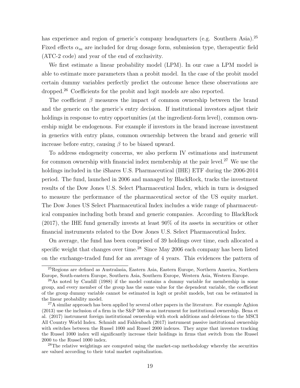has experience and region of generic's company headquarters (e.g. Southern Asia).<sup>25</sup> Fixed effects  $\alpha_m$  are included for drug dosage form, submission type, therapeutic field (ATC-2 code) and year of the end of exclusivity.

We first estimate a linear probability model (LPM). In our case a LPM model is able to estimate more parameters than a probit model. In the case of the probit model certain dummy variables perfectly predict the outcome hence these observations are dropped.<sup>26</sup> Coefficients for the probit and logit models are also reported.

The coefficient  $\beta$  measures the impact of common ownership between the brand and the generic on the generic's entry decision. If institutional investors adjust their holdings in response to entry opportunities (at the ingredient-form level), common ownership might be endogenous. For example if investors in the brand increase investment in generics with entry plans, common ownership between the brand and generic will increase before entry, causing  $\beta$  to be biased upward.

To address endogeneity concerns, we also perform IV estimations and instrument for common ownership with financial index membership at the pair level.<sup>27</sup> We use the holdings included in the iShares U.S. Pharmaceutical (IHE) ETF during the 2006-2014 period. The fund, launched in 2006 and managed by BlackRock, tracks the investment results of the Dow Jones U.S. Select Pharmaceutical Index, which in turn is designed to measure the performance of the pharmaceutical sector of the US equity market. The Dow Jones US Select Pharmaceutical Index includes a wide range of pharmaceutical companies including both brand and generic companies. According to BlackRock (2017), the IHE fund generally invests at least 90% of its assets in securities or other financial instruments related to the Dow Jones U.S. Select Pharmaceutical Index.

On average, the fund has been comprised of 39 holdings over time, each allocated a specific weight that changes over time.<sup>28</sup> Since May 2006 each company has been listed on the exchange-traded fund for an average of 4 years. This evidences the pattern of

<sup>25</sup>Regions are defined as Australasia, Eastern Asia, Eastern Europe, Northern America, Northern Europe, South-eastern Europe, Southern Asia, Southern Europe, Western Asia, Western Europe.

 $^{26}$ As noted by Caudill (1988) if the model contains a dummy variable for membership in some group, and every member of the group has the same value for the dependent variable, the coefficient of the group dummy variable cannot be estimated in logit or probit models, but can be estimated in the linear probability model.

 $27A$  similar approach has been applied by several other papers in the literature. For example Aghion (2013) use the inclusion of a firm in the S&P 500 as an instrument for institutional ownership. Bena et al. (2017) instrument foreign institutional ownership with stock additions and deletions to the MSCI All Country World Index. Schmidt and Fahlenbach (2017) instrument passive institutional ownership with switches between the Russel 1000 and Russel 2000 indexes. They argue that investors tracking the Russel 1000 index will significantly increase their holdings in firms that switch from the Russel 2000 to the Russel 1000 index.

<sup>&</sup>lt;sup>28</sup>The relative weightings are computed using the market-cap methodology whereby the securities are valued according to their total market capitalization.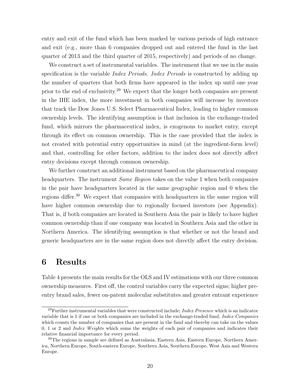entry and exit of the fund which has been marked by various periods of high entrance and exit (e.g., more than 6 companies dropped out and entered the fund in the last quarter of 2013 and the third quarter of 2015, respectively) and periods of no change.

We construct a set of instrumental variables. The instrument that we use in the main specification is the variable *Index Periods. Index Periods* is constructed by adding up the number of quarters that both firms have appeared in the index up until one year prior to the end of exclusivity.<sup>29</sup> We expect that the longer both companies are present in the IHE index, the more investment in both companies will increase by investors that track the Dow Jones U.S. Select Pharmaceutical Index, leading to higher common ownership levels. The identifying assumption is that inclusion in the exchange-traded fund, which mirrors the pharmaceutical index, is exogenous to market entry, except through its effect on common ownership. This is the case provided that the index is not created with potential entry opportunities in mind (at the ingredient-form level) and that, controlling for other factors, addition to the index does not directly affect entry decisions except through common ownership.

We further construct an additional instrument based on the pharmaceutical company headquarters. The instrument *Same Region* takes on the value 1 when both companies in the pair have headquarters located in the same geographic region and 0 when the regions differ.<sup>30</sup> We expect that companies with headquarters in the same region will have higher common ownership due to regionally focused investors (see Appendix). That is, if both companies are located in Southern Asia the pair is likely to have higher common ownership than if one company was located in Southern Asia and the other in Northern America. The identifying assumption is that whether or not the brand and generic headquarters are in the same region does not directly affect the entry decision.

## 6 Results

Table 4 presents the main results for the OLS and IV estimations with our three common ownership measures. First off, the control variables carry the expected signs; higher preentry brand sales, fewer on-patent molecular substitutes and greater entrant experience

<sup>&</sup>lt;sup>29</sup>Further instrumental variables that were constructed include; *Index Presence* which is an indicator variable that is 1 if one or both companies are included in the exchange-traded fund, Index Companies which counts the number of companies that are present in the fund and thereby can take on the values 0, 1 or 2 and Index Weights which sums the weights of each pair of companies and indicates their relative financial importance for every period.

<sup>&</sup>lt;sup>30</sup>The regions in sample are defined as Australasia, Eastern Asia, Eastern Europe, Northern America, Northern Europe, South-eastern Europe, Southern Asia, Southern Europe, West Asia and Western Europe.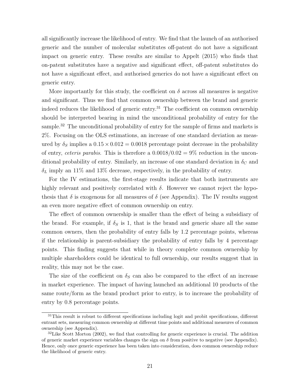all significantly increase the likelihood of entry. We find that the launch of an authorised generic and the number of molecular substitutes off-patent do not have a significant impact on generic entry. These results are similar to Appelt (2015) who finds that on-patent substitutes have a negative and significant effect, off-patent substitutes do not have a significant effect, and authorised generics do not have a significant effect on generic entry.

More importantly for this study, the coefficient on  $\delta$  across all measures is negative and significant. Thus we find that common ownership between the brand and generic indeed reduces the likelihood of generic entry.<sup>31</sup> The coefficient on common ownership should be interpreted bearing in mind the unconditional probability of entry for the sample.<sup>32</sup> The unconditional probability of entry for the sample of firms and markets is 2%. Focusing on the OLS estimations, an increase of one standard deviation as measured by  $\delta_S$  implies a  $0.15 \times 0.012 = 0.0018$  percentage point decrease in the probability of entry, *ceteris parabis*. This is therefore a  $0.0018/0.02 = 9\%$  reduction in the unconditional probability of entry. Similarly, an increase of one standard deviation in  $\delta_C$  and  $\delta_L$  imply an 11% and 13% decrease, respectively, in the probability of entry.

For the IV estimations, the first-stage results indicate that both instruments are highly relevant and positively correlated with  $\delta$ . However we cannot reject the hypothesis that  $\delta$  is exogenous for all measures of  $\delta$  (see Appendix). The IV results suggest an even more negative effect of common ownership on entry.

The effect of common ownership is smaller than the effect of being a subsidiary of the brand. For example, if  $\delta_S$  is 1, that is the brand and generic share all the same common owners, then the probability of entry falls by 1.2 percentage points, whereas if the relationship is parent-subsidiary the probability of entry falls by 4 percentage points. This finding suggests that while in theory complete common ownership by multiple shareholders could be identical to full ownership, our results suggest that in reality, this may not be the case.

The size of the coefficient on  $\delta_S$  can also be compared to the effect of an increase in market experience. The impact of having launched an additional 10 products of the same route/form as the brand product prior to entry, is to increase the probability of entry by 0.8 percentage points.

<sup>&</sup>lt;sup>31</sup>This result is robust to different specifications including logit and probit specifications, different entrant sets, measuring common ownership at different time points and additional measures of common ownership (see Appendix).

 $32$ Like Scott Morton (2002), we find that controlling for generic experience is crucial. The addition of generic market experience variables changes the sign on  $\delta$  from positive to negative (see Appendix). Hence, only once generic experience has been taken into consideration, does common ownership reduce the likelihood of generic entry.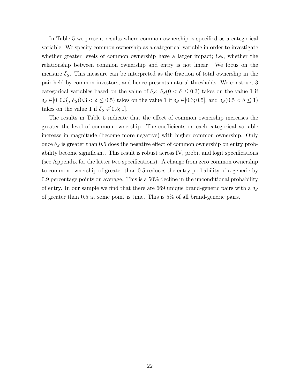In Table 5 we present results where common ownership is specified as a categorical variable. We specify common ownership as a categorical variable in order to investigate whether greater levels of common ownership have a larger impact; i.e., whether the relationship between common ownership and entry is not linear. We focus on the measure  $\delta_S$ . This measure can be interpreted as the fraction of total ownership in the pair held by common investors, and hence presents natural thresholds. We construct 3 categorical variables based on the value of  $\delta_S$ :  $\delta_S(0 < \delta \leq 0.3)$  takes on the value 1 if  $\delta_S \in ]0; 0.3], \delta_S(0.3 < \delta \leq 0.5)$  takes on the value 1 if  $\delta_S \in ]0.3; 0.5]$ , and  $\delta_S(0.5 < \delta \leq 1)$ takes on the value 1 if  $\delta_S \in ]0.5;1]$ .

The results in Table 5 indicate that the effect of common ownership increases the greater the level of common ownership. The coefficients on each categorical variable increase in magnitude (become more negative) with higher common ownership. Only once  $\delta_S$  is greater than 0.5 does the negative effect of common ownership on entry probability become significant. This result is robust across IV, probit and logit specifications (see Appendix for the latter two specifications). A change from zero common ownership to common ownership of greater than 0.5 reduces the entry probability of a generic by 0.9 percentage points on average. This is a 50% decline in the unconditional probability of entry. In our sample we find that there are 669 unique brand-generic pairs with a  $\delta_S$ of greater than 0.5 at some point is time. This is 5% of all brand-generic pairs.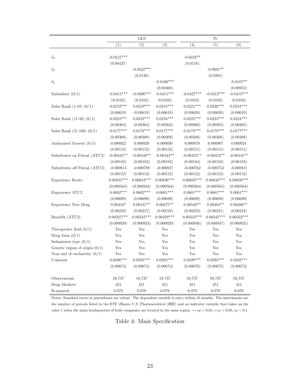|                                  |              | <b>OLS</b>           |              |              | IV           |                      |
|----------------------------------|--------------|----------------------|--------------|--------------|--------------|----------------------|
|                                  | (1)          | (2)                  | (3)          | (4)          | (5)          | (6)                  |
|                                  |              |                      |              |              |              |                      |
| $\delta_S$                       | $-0.0121***$ |                      |              | $-0.0234**$  |              |                      |
|                                  | (0.00437)    |                      |              | (0.0116)     |              |                      |
| $\delta_C$                       |              | $-0.0422***$         |              |              | $-0.0601**$  |                      |
|                                  |              | (0.0130)             |              |              | (0.0291)     |                      |
| $\delta_L$                       |              |                      | $-0.0166***$ |              |              | $-0.0187**$          |
|                                  |              |                      | (0.00400)    |              |              | (0.00952)            |
| Subsidiary $(0/1)$               | $-0.0411***$ | $-0.0406***$         | $-0.0411***$ | $-0.0427***$ | $-0.0412***$ | $-0.0413***$         |
|                                  | (0.0102)     | (0.0102)             | (0.0102)     | (0.0103)     | (0.0102)     | (0.0102)             |
| Sales Rank $(1-10)$ $(0/1)$      | $0.0219***$  | $0.0219***$          | $0.0218***$  | $0.0221***$  | $0.0220***$  | $0.0218***$          |
|                                  | (0.00619)    | (0.00619)            | (0.00619)    | (0.00620)    | (0.00620)    | (0.00619)            |
| Sales Rank $(11-50)$ $(0/1)$     | $0.0223***$  | $0.0223***$          | $0.0224***$  | $0.0225***$  | $0.0224***$  | $0.0224***$          |
|                                  | (0.00364)    | (0.00364)            | (0.00364)    | (0.00366)    | (0.00365)    | (0.00365)            |
| Sales Rank $(51-100)$ $(0/1)$    | $0.0177***$  | $0.0178***$          | $0.0177***$  | $0.0178***$  | $0.0179***$  | $0.0177***$          |
|                                  | (0.00308)    | (0.00308)            | (0.00308)    | (0.00308)    | (0.00308)    | (0.00308)            |
| Authorised Generic $(0/1)$       | 0.000922     | 0.000928             | 0.000930     | 0.000870     | 0.000907     | 0.000924             |
|                                  | (0.00152)    | (0.00152)            | (0.00152)    | (0.00151)    | (0.00151)    | (0.00151)            |
| Substitutes on Patent (ATC2)     | $-0.00445**$ | $-0.00448**$         | $-0.00444**$ | $-0.00454**$ | $-0.00453**$ | $-0.00445**$         |
|                                  | (0.00183)    | (0.00183)            | (0.00183)    | (0.00184)    | (0.00183)    | (0.00183)            |
| Substitutes off Patent (ATC2)    | $-0.000814$  | $-0.000788$          | $-0.000827$  | $-0.000762$  | $-0.000753$  | $-0.000821$          |
|                                  | (0.00152)    | (0.00152)            | (0.00152)    | (0.00152)    | (0.00152)    | (0.00152)            |
| Experience Route                 | $0.00835***$ | $0.00834***$         | $0.00836***$ | $0.00835***$ | $0.00834***$ | $0.00836***$         |
|                                  | (0.000564)   | (0.000564)           | (0.000564)   | (0.000564)   | (0.000564)   | (0.000564)           |
| Experience ATC2                  | $0.0602***$  | $0.0602***$          | $0.0601***$  | $0.0601***$  | $0.0601***$  | $0.0601***$          |
|                                  | (0.00699)    | (0.00699)            | (0.00699)    | (0.00699)    | (0.00699)    | (0.00699)            |
| <b>Experience New Drug</b>       | $0.00434*$   | $0.00431**$          | $0.00475**$  | $0.00549**$  | $0.00483**$  | $0.00496**$          |
|                                  | (0.00222)    | (0.00217)            | (0.00219)    | (0.00233)    | (0.00221)    | (0.00224)            |
| Breadth (ATC2)                   | $0.00325***$ | $0.00333***$         | $0.00329***$ | $0.00343***$ | $0.00345***$ | $0.00332***$         |
|                                  | (0.000920)   | (0.000924)           | (0.000920)   | (0.000946)   | (0.000947)   | (0.000935)           |
| Therapeutic field $(0/1)$        | Yes          | $\operatorname{Yes}$ | Yes          | Yes          | Yes          | $\operatorname{Yes}$ |
| Drug form $(0/1)$                | Yes          | $\operatorname{Yes}$ | Yes          | Yes          | Yes          | Yes                  |
| Submission type $(0/1)$          | Yes          | Yes                  | Yes          | Yes          | Yes          | Yes                  |
| Generic region of origin $(0/1)$ | Yes          | Yes                  | Yes          | Yes          | Yes          | Yes                  |
| Year end of exclusivity $(0/1)$  | Yes          | Yes                  | Yes          | Yes          | Yes          | Yes                  |
| Constant                         | $0.0296***$  | $0.0293***$          | $0.0292***$  | $0.0299***$  | $0.0293***$  | $0.0292***$          |
|                                  | (0.00674)    | (0.00674)            | (0.00674)    | (0.00676)    | (0.00673)    | (0.00673)            |
| Observations                     | 58,737       | 58,737               | 58,737       | 58,737       | 58,737       | 58,737               |
| Drug Markets                     | 451          | 451                  | 451          | 451          | 451          | 451                  |
| R-squared                        | 0.079        | 0.079                | 0.079        | 0.079        | 0.079        | 0.079                |

Notes: Standard errors in parentheses are robust. The dependent variable is entry within 18 months. The instruments are the number of periods listed in the ETF iShares U.S. Pharmaceutical (IHE) and an indicator variable that takes on the value 1 when the main headquarters of both companies are located in the same region. \*\*\* $p < 0.01$ , \*\* $p < 0.05$ , \* $p < 0.1$ .

Table 4: Main Specification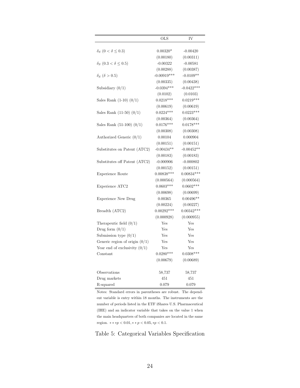|                                       | $_{\rm OLS}$  | IV           |
|---------------------------------------|---------------|--------------|
|                                       |               |              |
| $\delta_S$ (0 < $\delta \leq 0.3$ )   | $0.00320*$    | $-0.00420$   |
|                                       | (0.00180)     | (0.00311)    |
| $\delta_S$ (0.3 < $\delta \leq 0.5$ ) | $-0.00322$    | $-0.00581$   |
|                                       | (0.00288)     | (0.00387)    |
| $\delta_S$ ( $\delta > 0.5$ )         | $-0.00919***$ | $-0.0109**$  |
|                                       | (0.00335)     | (0.00438)    |
| Subsidiary $(0/1)$                    | $-0.0394***$  | $-0.0422***$ |
|                                       | (0.0102)      | (0.0103)     |
| Sales Rank $(1-10)$ $(0/1)$           | $0.0218***$   | $0.0219***$  |
|                                       | (0.00619)     | (0.00619)    |
| Sales Rank $(11-50)$ $(0/1)$          | $0.0224***$   | $0.0223***$  |
|                                       | (0.00364)     | (0.00364)    |
| Sales Rank $(51-100)$ $(0/1)$         | $0.0176***$   | $0.0178***$  |
|                                       | (0.00308)     | (0.00308)    |
| Authorized Generic $(0/1)$            | 0.00104       | 0.000904     |
|                                       | (0.00151)     | (0.00151)    |
| Substitutes on Patent (ATC2)          | $-0.00434**$  | $-0.00452**$ |
|                                       | (0.00183)     | (0.00183)    |
| Substitutes off Patent (ATC2)         | $-0.000906$   | $-0.000802$  |
|                                       | (0.00152)     | (0.00151)    |
| <b>Experience Route</b>               | $0.00838***$  | $0.00834***$ |
|                                       | (0.000564)    | (0.000564)   |
| Experience ATC2                       | $0.0603***$   | $0.0602***$  |
|                                       | (0.00698)     | (0.00699)    |
| <b>Experience New Drug</b>            | 0.00365       | $0.00496**$  |
|                                       | (0.00224)     | (0.00227)    |
| Breadth (ATC2)                        | $0.00292***$  | $0.00342***$ |
|                                       | (0.000928)    | (0.000955)   |
| Therapeutic field $(0/1)$             | Yes           | Yes          |
| Drug form $(0/1)$                     | Yes           | Yes          |
| Submission type $(0/1)$               | Yes           | Yes          |
| Generic region of origin $(0/1)$      | Yes           | Yes          |
| Year end of exclusivity $(0/1)$       | Yes           | Yes          |
| Constant                              | $0.0280***$   | $0.0308***$  |
|                                       | (0.00679)     | (0.00689)    |
| Observations                          | 58,737        | 58,737       |
| Drug markets                          | 451           | 451          |
| R-squared                             | 0.079         | 0.079        |

Notes: Standard errors in parentheses are robust. The dependent variable is entry within 18 months. The instruments are the number of periods listed in the ETF iShares U.S. Pharmaceutical (IHE) and an indicator variable that takes on the value 1 when the main headquarters of both companies are located in the same region.  $** \ast p < 0.01, ** p < 0.05, * p < 0.1$ .

### Table 5: Categorical Variables Specification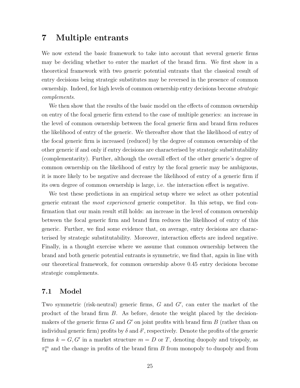## 7 Multiple entrants

We now extend the basic framework to take into account that several generic firms may be deciding whether to enter the market of the brand firm. We first show in a theoretical framework with two generic potential entrants that the classical result of entry decisions being strategic substitutes may be reversed in the presence of common ownership. Indeed, for high levels of common ownership entry decisions become strategic complements.

We then show that the results of the basic model on the effects of common ownership on entry of the focal generic firm extend to the case of multiple generics: an increase in the level of common ownership between the focal generic firm and brand firm reduces the likelihood of entry of the generic. We thereafter show that the likelihood of entry of the focal generic firm is increased (reduced) by the degree of common ownership of the other generic if and only if entry decisions are characterised by strategic substitutability (complementarity). Further, although the overall effect of the other generic's degree of common ownership on the likelihood of entry by the focal generic may be ambiguous, it is more likely to be negative and decrease the likelihood of entry of a generic firm if its own degree of common ownership is large, i.e. the interaction effect is negative.

We test these predictions in an empirical setup where we select as other potential generic entrant the most experienced generic competitor. In this setup, we find confirmation that our main result still holds: an increase in the level of common ownership between the focal generic firm and brand firm reduces the likelihood of entry of this generic. Further, we find some evidence that, on average, entry decisions are characterised by strategic substitutability. Moreover, interaction effects are indeed negative. Finally, in a thought exercise where we assume that common ownership between the brand and both generic potential entrants is symmetric, we find that, again in line with our theoretical framework, for common ownership above 0.45 entry decisions become strategic complements.

### 7.1 Model

Two symmetric (risk-neutral) generic firms,  $G$  and  $G'$ , can enter the market of the product of the brand firm B. As before, denote the weight placed by the decisionmakers of the generic firms  $G$  and  $G'$  on joint profits with brand firm  $B$  (rather than on individual generic firm) profits by  $\delta$  and  $\delta'$ , respectively. Denote the profits of the generic firms  $k = G, G'$  in a market structure  $m = D$  or T, denoting duopoly and triopoly, as  $\pi_k^m$  and the change in profits of the brand firm B from monopoly to duopoly and from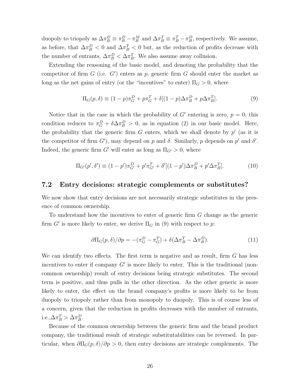duopoly to triopoly as  $\Delta \pi_B^D = \pi_B^D - \pi_B^M$  and  $\Delta \pi_B^T \equiv \pi_B^T - \pi_B^D$ , respectively. We assume, as before, that  $\Delta \pi_B^D < 0$  and  $\Delta \pi_B^T < 0$  but, as the reduction of profits decrease with the number of entrants,  $\Delta \pi_B^D < \Delta \pi_B^T$ . We also assume away collusion.

Extending the reasoning of the basic model, and denoting the probability that the competitor of firm  $G$  (i.e.  $G'$ ) enters as p, generic firm  $G$  should enter the market as long as the net gains of entry (or the "incentives" to enter)  $\Pi_G > 0$ , where

$$
\Pi_G(p,\delta) \equiv (1-p)\pi_G^D + p\pi_G^T + \delta[(1-p)\Delta\pi_B^D + p\Delta\pi_B^T].
$$
\n(9)

Notice that in the case in which the probability of  $G'$  entering is zero,  $p = 0$ , this condition reduces to  $\pi_G^D + \delta \Delta \pi_B^D > 0$ , as in equation (2) in our basic model. Here, the probability that the generic firm  $G$  enters, which we shall denote by  $p'$  (as it is the competitor of firm  $G'$ ), may depend on p and  $\delta$ . Similarly, p depends on p' and  $\delta'$ . Indeed, the generic firm  $G'$  will enter as long as  $\Pi_{G'} > 0$ , where

$$
\Pi_{G'}(p',\delta') \equiv (1-p')\pi_{G'}^D + p'\pi_{G'}^T + \delta'[(1-p')\Delta\pi_B^D + p'\Delta\pi_B^T].
$$
\n(10)

#### 7.2 Entry decisions: strategic complements or substitutes?

We now show that entry decisions are not necessarily strategic substitutes in the presence of common ownership.

To understand how the incentives to enter of generic firm G change as the generic firm  $G'$  is more likely to enter, we derive  $\Pi_G$  in (9) with respect to p:

$$
\partial \Pi_G(p,\delta)/\partial p = -(\pi_G^D - \pi_G^T) + \delta(\Delta \pi_B^T - \Delta \pi_B^D). \tag{11}
$$

We can identify two effects. The first term is negative and as result, firm  $G$  has less incentives to enter if company  $G'$  is more likely to enter. This is the traditional (noncommon ownership) result of entry decisions being strategic substitutes. The second term is positive, and thus pulls in the other direction. As the other generic is more likely to enter, the effect on the brand company's profits is more likely to be from duopoly to triopoly rather than from monopoly to duopoly. This is of course less of a concern, given that the reduction in profits decreases with the number of entrants, i.e., $\Delta \pi_B^T > \Delta \pi_B^D$ .

Because of the common ownership between the generic firm and the brand product company, the traditional result of strategic substitutabilities can be reversed. In particular, when  $\partial \Pi_G(p,\delta)/\partial p > 0$ , then entry decisions are strategic complements. The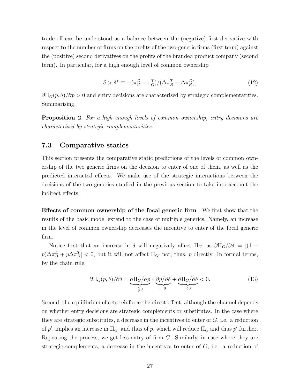trade-off can be understood as a balance between the (negative) first derivative with respect to the number of firms on the profits of the two-generic firms (first term) against the (positive) second derivatives on the profits of the branded product company (second term). In particular, for a high enough level of common ownership

$$
\delta > \delta^* \equiv -(\pi_G^D - \pi_G^T) / (\Delta \pi_B^T - \Delta \pi_B^D),\tag{12}
$$

 $\partial \Pi_G(p,\delta)/\partial p > 0$  and entry decisions are characterised by strategic complementarities. Summarising,

**Proposition 2.** For a high enough levels of common ownership, entry decisions are characterised by strategic complementarities.

### 7.3 Comparative statics

This section presents the comparative static predictions of the levels of common ownership of the two generic firms on the decision to enter of one of them, as well as the predicted interacted effects. We make use of the strategic interactions between the decisions of the two generics studied in the previous section to take into account the indirect effects.

Effects of common ownership of the focal generic firm We first show that the results of the basic model extend to the case of multiple generics. Namely, an increase in the level of common ownership decreases the incentive to enter of the focal generic firm.

Notice first that an increase in  $\delta$  will negatively affect  $\Pi_G$ , as  $\partial \Pi_G/\partial \delta = [(1$  $p)\Delta\pi_B^D + p\Delta\pi_B^T$  < 0, but it will not affect  $\Pi_{G'}$  nor, thus, p directly. In formal terms, by the chain rule,

$$
\partial \Pi_G(p,\delta)/\partial \delta = \underbrace{\partial \Pi_G/\partial p}_{\leq 0} * \underbrace{\partial p/\partial \delta}_{=0} + \underbrace{\partial \Pi_G/\partial \delta}_{<0} < 0. \tag{13}
$$

Second, the equilibrium effects reinforce the direct effect, although the channel depends on whether entry decisions are strategic complements or substitutes. In the case where they are strategic substitutes, a decrease in the incentives to enter of  $G$ , i.e. a reduction of p', implies an increase in  $\Pi_{G'}$  and thus of p, which will reduce  $\Pi_G$  and thus p' further. Repeating the process, we get less entry of firm G. Similarly, in case where they are strategic complements, a decrease in the incentives to enter of  $G$ , i.e. a reduction of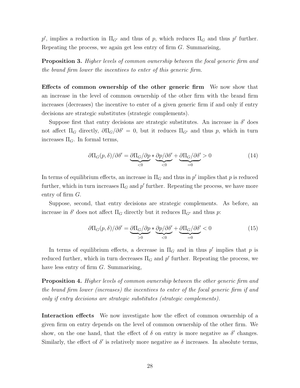p', implies a reduction in  $\Pi_{G'}$  and thus of p, which reduces  $\Pi_G$  and thus p' further. Repeating the process, we again get less entry of firm G. Summarising,

**Proposition 3.** Higher levels of common ownership between the focal generic firm and the brand firm lower the incentives to enter of this generic firm.

Effects of common ownership of the other generic firm We now show that an increase in the level of common ownership of the other firm with the brand firm increases (decreases) the incentive to enter of a given generic firm if and only if entry decisions are strategic substitutes (strategic complements).

Suppose first that entry decisions are strategic substitutes. An increase in  $\delta'$  does not affect  $\Pi_G$  directly,  $\partial \Pi_G/\partial \delta' = 0$ , but it reduces  $\Pi_{G'}$  and thus p, which in turn increases  $\Pi_G$ . In formal terms,

$$
\partial \Pi_G(p,\delta)/\partial \delta' = \underbrace{\partial \Pi_G/\partial p}_{\leq 0} * \underbrace{\partial p/\partial \delta'}_{\leq 0} + \underbrace{\partial \Pi_G/\partial \delta'}_{=0} > 0
$$
\n(14)

In terms of equilibrium effects, an increase in  $\Pi_G$  and thus in p' implies that p is reduced further, which in turn increases  $\Pi_G$  and  $p'$  further. Repeating the process, we have more entry of firm G.

Suppose, second, that entry decisions are strategic complements. As before, an increase in  $\delta'$  does not affect  $\Pi_G$  directly but it reduces  $\Pi_{G'}$  and thus p:

$$
\partial \Pi_G(p,\delta) / \partial \delta' = \underbrace{\partial \Pi_G / \partial p}_{>0} * \underbrace{\partial p / \partial \delta'}_{<0} + \underbrace{\partial \Pi_G / \partial \delta'}_{=0} < 0 \tag{15}
$$

In terms of equilibrium effects, a decrease in  $\Pi_G$  and in thus p' implies that p is reduced further, which in turn decreases  $\Pi_G$  and  $p'$  further. Repeating the process, we have less entry of firm G. Summarising,

**Proposition 4.** Higher levels of common ownership between the other generic firm and the brand firm lower (increases) the incentives to enter of the focal generic firm if and only if entry decisions are strategic substitutes (strategic complements).

Interaction effects We now investigate how the effect of common ownership of a given firm on entry depends on the level of common ownership of the other firm. We show, on the one hand, that the effect of  $\delta$  on entry is more negative as  $\delta'$  changes. Similarly, the effect of  $\delta'$  is relatively more negative as  $\delta$  increases. In absolute terms,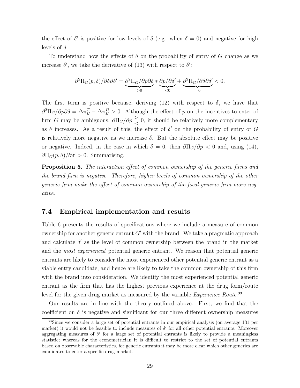the effect of  $\delta'$  is positive for low levels of  $\delta$  (e.g. when  $\delta = 0$ ) and negative for high levels of  $\delta$ .

To understand how the effects of  $\delta$  on the probability of entry of G change as we increase  $\delta'$ , we take the derivative of (13) with respect to  $\delta'$ :

$$
\partial^2 \Pi_G(p,\delta)/\partial \delta \partial \delta' = \underbrace{\partial^2 \Pi_G/\partial p \partial \delta}_{>0} * \underbrace{\partial p/\partial \delta'}_{<0} + \underbrace{\partial^2 \Pi_G/\partial \delta \partial \delta'}_{=0} < 0.
$$

The first term is positive because, deriving (12) with respect to  $\delta$ , we have that  $\partial^2\Pi_G/\partial p\partial\delta = \Delta\pi_B^T - \Delta\pi_B^D > 0$ . Although the effect of p on the incentives to enter of firm G may be ambiguous,  $\partial \Pi_G / \partial p \geq 0$ , it should be relatively more complementary as  $\delta$  increases. As a result of this, the effect of  $\delta'$  on the probability of entry of G is relatively more negative as we increase  $\delta$ . But the absolute effect may be positive or negative. Indeed, in the case in which  $\delta = 0$ , then  $\partial \Pi_G/\partial p < 0$  and, using (14),  $\partial \Pi_G(p,\delta)/\partial \delta' > 0$ . Summarising,

Proposition 5. The interaction effect of common ownership of the generic firms and the brand firm is negative. Therefore, higher levels of common ownership of the other generic firm make the effect of common ownership of the focal generic firm more negative.

#### 7.4 Empirical implementation and results

Table 6 presents the results of specifications where we include a measure of common ownership for another generic entrant  $G'$  with the brand. We take a pragmatic approach and calculate  $\delta'$  as the level of common ownership between the brand in the market and the most experienced potential generic entrant. We reason that potential generic entrants are likely to consider the most experienced other potential generic entrant as a viable entry candidate, and hence are likely to take the common ownership of this firm with the brand into consideration. We identify the most experienced potential generic entrant as the firm that has the highest previous experience at the drug form/route level for the given drug market as measured by the variable *Experience Route*.<sup>33</sup>

Our results are in line with the theory outlined above. First, we find that the coefficient on  $\delta$  is negative and significant for our three different ownership measures

<sup>33</sup>Since we consider a large set of potential entrants in our empirical analysis (on average 131 per market) it would not be feasible to include measures of  $\delta'$  for all other potential entrants. Moreover aggregating measures of  $\delta'$  for a large set of potential entrants is likely to provide a meaningless statistic; whereas for the econometrician it is difficult to restrict to the set of potential entrants based on observable characteristics, for generic entrants it may be more clear which other generics are candidates to enter a specific drug market.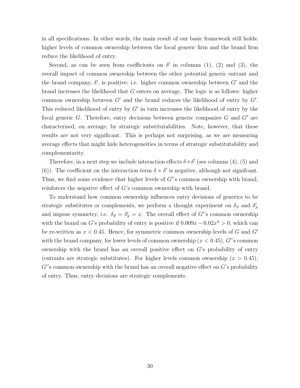in all specifications. In other words, the main result of our basic framework still holds: higher levels of common ownership between the focal generic firm and the brand firm reduce the likelihood of entry.

Second, as can be seen from coefficients on  $\delta'$  in columns (1), (2) and (3), the overall impact of common ownership between the other potential generic entrant and the brand company,  $\delta'$ , is positive; i.e. higher common ownership between  $G'$  and the brand increases the likelihood that G enters on average. The logic is as follows: higher common ownership between  $G'$  and the brand reduces the likelihood of entry by  $G'$ . This reduced likelihood of entry by  $G'$  in turn increases the likelihood of entry by the focal generic G. Therefore, entry decisions between generic companies  $G$  and  $G'$  are characterised, on average, by strategic substitutabilities. Note, however, that these results are not very significant. This is perhaps not surprising, as we are measuring average effects that might hide heterogeneities in terms of strategic substitutability and complementarity.

Therefore, in a next step we include interaction effects  $\delta \times \delta'$  (see columns (4), (5) and (6)). The coefficient on the interaction term  $\delta \times \delta'$  is negative, although not significant. Thus, we find some evidence that higher levels of  $G$ 's common ownership with brand, reinforces the negative effect of G's common ownership with brand.

To understand how common ownership influences entry decisions of generics to be strategic substitutes or complements, we perform a thought experiment on  $\delta_S$  and  $\delta'_S$ and impose symmetry, i.e.  $\delta_S = \delta_S' = x$ . The overall effect of G''s common ownership with the brand on G's probability of entry is positive if  $0.009x - 0.02x^2 > 0$ , which can be re-written as  $x < 0.45$ . Hence, for symmetric common ownership levels of G and G' with the brand company, for lower levels of common ownership  $(x < 0.45)$ , G''s common ownership with the brand has an overall positive effect on G's probability of entry (entrants are strategic substitutes). For higher levels common ownership  $(x > 0.45)$ ,  $G$ 's common ownership with the brand has an overall negative effect on  $G$ 's probability of entry. Thus, entry decisions are strategic complements.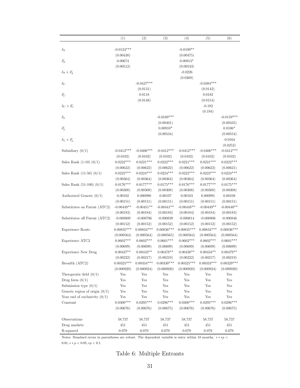|                                  | (1)          | (2)          | (3)                  | (4)          | (5)          | (6)          |
|----------------------------------|--------------|--------------|----------------------|--------------|--------------|--------------|
|                                  |              |              |                      |              |              |              |
| $\delta_S$                       | $-0.0124***$ |              |                      | $-0.0109**$  |              |              |
|                                  | (0.00438)    |              |                      | (0.00475)    |              |              |
| $\delta_S'$                      | 0.00674      |              |                      | $0.00913*$   |              |              |
|                                  | (0.00512)    |              |                      | (0.00533)    |              |              |
| $\delta_S \times \delta_S'$      |              |              |                      | $-0.0226$    |              |              |
|                                  |              |              |                      | (0.0269)     |              |              |
| $\delta_C$                       |              | $-0.0427***$ |                      |              | $-0.0384***$ |              |
|                                  |              | (0.0131)     |                      |              | (0.0142)     |              |
| $\delta_C'$                      |              | 0.0118       |                      |              | 0.0182       |              |
|                                  |              | (0.0148)     |                      |              | (0.0154)     |              |
| $\delta_C \times \delta_C'$      |              |              |                      |              | $-0.182$     |              |
|                                  |              |              |                      |              | (0.194)      |              |
| $\delta_L$                       |              |              | $-0.0169***$         |              |              | $-0.0159***$ |
|                                  |              |              | (0.00401)            |              |              | (0.00435)    |
| $\delta_L'$                      |              |              | $0.00910*$           |              |              | $0.0106*$    |
|                                  |              |              | (0.00534)            |              |              | (0.00554)    |
| $\delta_L \times \delta_L'$      |              |              |                      |              |              | $-0.0164$    |
|                                  |              |              |                      |              |              | (0.0252)     |
| Subsidiary $(0/1)$               | $-0.0412***$ | $-0.0406***$ | $-0.0412***$         | $-0.0412***$ | $-0.0406***$ | $-0.0412***$ |
|                                  | (0.0102)     | (0.0102)     | (0.0102)             | (0.0102)     | (0.0102)     | (0.0102)     |
| Sales Rank $(1-10)$ $(0/1)$      | $0.0222***$  | $0.0221***$  | $0.0222***$          | $0.0221***$  | $0.0221***$  | $0.0222***$  |
|                                  | (0.00622)    | (0.00622)    | (0.00622)            | (0.00622)    | (0.00622)    | (0.00621)    |
| Sales Rank $(11-50)$ $(0/1)$     | $0.0223***$  | $0.0224***$  | $0.0224***$          | $0.0222***$  | $0.0223***$  | $0.0224***$  |
|                                  | (0.00364)    | (0.00364)    | (0.00364)            | (0.00364)    | (0.00364)    | (0.00364)    |
| Sales Rank $(51-100)$ $(0/1)$    | $0.0176***$  | $0.0177***$  | $0.0175***$          | $0.0176***$  | $0.0177***$  | $0.0175***$  |
|                                  | (0.00308)    | (0.00308)    | (0.00308)            | (0.00308)    | (0.00308)    | (0.00308)    |
| Authorized Generic $(0/1)$       | 0.00102      | 0.000980     | 0.00107              | 0.00103      | 0.000991     | $0.00108\,$  |
|                                  | (0.00151)    | (0.00151)    | (0.00151)            | (0.00151)    | (0.00151)    | (0.00151)    |
| Substitutes on Patent (ATC2)     | $-0.00449**$ | $-0.00451**$ | $-0.00441**$         | $-0.00448**$ | $-0.00449**$ | $-0.00440**$ |
|                                  | (0.00183)    | (0.00184)    | (0.00183)            | (0.00184)    | (0.00184)    | (0.00183)    |
| Substitutes off Patent (ATC2)    | $-0.000809$  | $-0.000796$  | $-0.000839$          | $-0.000814$  | $-0.000806$  | $-0.000846$  |
|                                  | (0.00152)    | (0.00152)    | (0.00152)            | (0.00152)    | (0.00152)    | (0.00152)    |
| Experience Route                 | $0.00835***$ | $0.00834***$ | $0.00836***$         | $0.00835***$ | $0.00834***$ | $0.00836***$ |
|                                  | (0.000564)   | (0.000564)   | (0.000565)           | (0.000564)   | (0.000564)   | (0.000564)   |
| Experience ATC2                  | $0.0602***$  | $0.0602***$  | $0.0601***$          | $0.0602***$  | $0.0602***$  | $0.0601***$  |
|                                  | (0.00699)    | (0.00699)    | (0.00699)            | (0.00699)    | (0.00699)    | (0.00699)    |
| Experience New Drug              | $0.00437**$  | $0.00433**$  | $0.00478**$          | $0.00438**$  | $0.00434**$  | $0.00479**$  |
|                                  | (0.00222)    | (0.00217)    | (0.00219)            | (0.00222)    | (0.00217)    | (0.00219)    |
| Breadth (ATC2)                   | $0.00325***$ | $0.00334***$ | $0.00330***$         | $0.00325***$ | $0.00333***$ | $0.00329***$ |
|                                  | (0.000920)   | (0.000924)   | (0.000920)           | (0.000920)   | (0.000924)   | (0.000920)   |
| Therapeutic field $(0/1)$        | Yes          | Yes          | Yes                  | Yes          | Yes          | Yes          |
| Drug form $(0/1)$                | Yes          | Yes          | Yes                  | Yes          | Yes          | Yes          |
| Submission type $(0/1)$          | Yes          | Yes          | Yes                  | Yes          | Yes          | Yes          |
| Generic region of origin $(0/1)$ | Yes          | Yes          | Yes                  | Yes          | Yes          | Yes          |
| Year end of exclusivity $(0/1)$  | Yes          | Yes          | $\operatorname{Yes}$ | Yes          | Yes          | Yes          |
| Constant                         | $0.0300***$  | $0.0295***$  | $0.0296***$          | $0.0300***$  | $0.0295***$  | $0.0296***$  |
|                                  | (0.00676)    | (0.00676)    | (0.00675)            | (0.00676)    | (0.00676)    | (0.00675)    |
|                                  |              |              |                      |              |              |              |
| Observations                     | 58,737       | 58,737       | 58,737               | 58,737       | 58,737       | 58,737       |
| Drug markets                     | 451          | 451          | 451                  | 451          | 451          | 451          |
| R-squared                        | 0.079        | 0.079        | 0.079                | 0.079        | 0.079        | 0.079        |

Notes: Standard errors in parentheses are robust. The dependent variable is entry within 18 months. ∗ ∗ ∗p <  $0.01$ ,  $*$   $*$   $p$  < 0.05,  $*$  $p$  < 0.1.

## Table 6: Multiple Entrants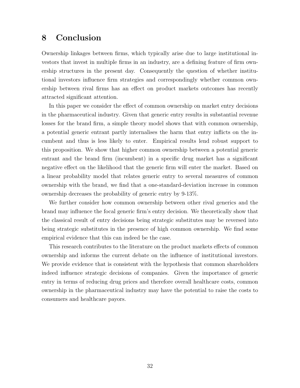## 8 Conclusion

Ownership linkages between firms, which typically arise due to large institutional investors that invest in multiple firms in an industry, are a defining feature of firm ownership structures in the present day. Consequently the question of whether institutional investors influence firm strategies and correspondingly whether common ownership between rival firms has an effect on product markets outcomes has recently attracted significant attention.

In this paper we consider the effect of common ownership on market entry decisions in the pharmaceutical industry. Given that generic entry results in substantial revenue losses for the brand firm, a simple theory model shows that with common ownership, a potential generic entrant partly internalises the harm that entry inflicts on the incumbent and thus is less likely to enter. Empirical results lend robust support to this proposition. We show that higher common ownership between a potential generic entrant and the brand firm (incumbent) in a specific drug market has a significant negative effect on the likelihood that the generic firm will enter the market. Based on a linear probability model that relates generic entry to several measures of common ownership with the brand, we find that a one-standard-deviation increase in common ownership decreases the probability of generic entry by 9-13%.

We further consider how common ownership between other rival generics and the brand may influence the focal generic firm's entry decision. We theoretically show that the classical result of entry decisions being strategic substitutes may be reversed into being strategic substitutes in the presence of high common ownership. We find some empirical evidence that this can indeed be the case.

This research contributes to the literature on the product markets effects of common ownership and informs the current debate on the influence of institutional investors. We provide evidence that is consistent with the hypothesis that common shareholders indeed influence strategic decisions of companies. Given the importance of generic entry in terms of reducing drug prices and therefore overall healthcare costs, common ownership in the pharmaceutical industry may have the potential to raise the costs to consumers and healthcare payors.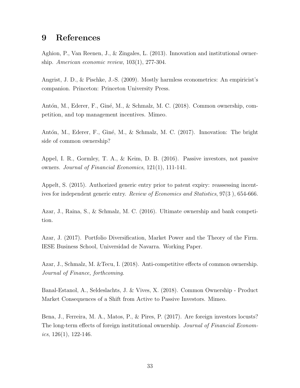## 9 References

Aghion, P., Van Reenen, J., & Zingales, L. (2013). Innovation and institutional ownership. American economic review, 103(1), 277-304.

Angrist, J. D., & Pischke, J.-S. (2009). Mostly harmless econometrics: An empiricist's companion. Princeton: Princeton University Press.

Antón, M., Ederer, F., Giné, M., & Schmalz, M. C. (2018). Common ownership, competition, and top management incentives. Mimeo.

Antón, M., Ederer, F., Giné, M., & Schmalz, M. C. (2017). Innovation: The bright side of common ownership?

Appel, I. R., Gormley, T. A., & Keim, D. B. (2016). Passive investors, not passive owners. Journal of Financial Economics, 121(1), 111-141.

Appelt, S. (2015). Authorized generic entry prior to patent expiry: reassessing incentives for independent generic entry. Review of Economics and Statistics, 97(3 ), 654-666.

Azar, J., Raina, S., & Schmalz, M. C. (2016). Ultimate ownership and bank competition.

Azar, J. (2017). Portfolio Diversification, Market Power and the Theory of the Firm. IESE Business School, Universidad de Navarra. Working Paper.

Azar, J., Schmalz, M. &Tecu, I. (2018). Anti-competitive effects of common ownership. Journal of Finance, forthcoming.

Banal-Estanol, A., Seldeslachts, J. & Vives, X. (2018). Common Ownership - Product Market Consequences of a Shift from Active to Passive Investors. Mimeo.

Bena, J., Ferreira, M. A., Matos, P., & Pires, P. (2017). Are foreign investors locusts? The long-term effects of foreign institutional ownership. Journal of Financial Economics,  $126(1)$ ,  $122-146$ .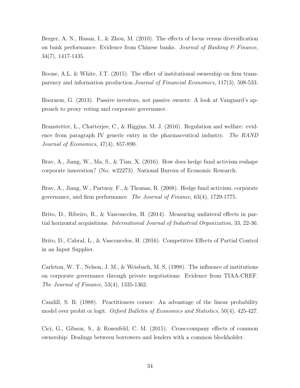Berger, A. N., Hasan, I., & Zhou, M. (2010). The effects of focus versus diversification on bank performance: Evidence from Chinese banks. Journal of Banking  $\mathcal C$  Finance, 34(7), 1417-1435.

Boone, A.L. & White, J.T. (2015). The effect of institutional ownership on firm transparency and information production.Journal of Financial Economics, 117(3), 508-533.

Booraem, G. (2013). Passive investors, not passive owners: A look at Vanguard's approach to proxy voting and corporate governance.

Branstetter, L., Chatterjee, C., & Higgins, M. J. (2016). Regulation and welfare: evidence from paragraph IV generic entry in the pharmaceutical industry. The RAND Journal of Economics, 47(4), 857-890.

Brav, A., Jiang, W., Ma, S., & Tian, X. (2016). How does hedge fund activism reshape corporate innovation? (No. w22273). National Bureau of Economic Research.

Brav, A., Jiang, W., Partnoy, F., & Thomas, R. (2008). Hedge fund activism, corporate governance, and firm performance. The Journal of Finance, 63(4), 1729-1775.

Brito, D., Ribeiro, R., & Vasconcelos, H. (2014). Measuring unilateral effects in partial horizontal acquisitions. International Journal of Industrial Organization, 33, 22-36.

Brito, D., Cabral, L., & Vasconcelos, H. (2016). Competitive Effects of Partial Control in an Input Supplier.

Carleton, W. T., Nelson, J. M., & Weisbach, M. S. (1998). The influence of institutions on corporate governance through private negotiations: Evidence from TIAA-CREF. The Journal of Finance, 53(4), 1335-1362.

Caudill, S. B. (1988). Practitioners corner: An advantage of the linear probability model over probit or logit. Oxford Bulletin of Economics and Statistics, 50(4), 425-427.

Cici, G., Gibson, S., & Rosenfeld, C. M. (2015). Cross-company effects of common ownership: Dealings between borrowers and lenders with a common blockholder.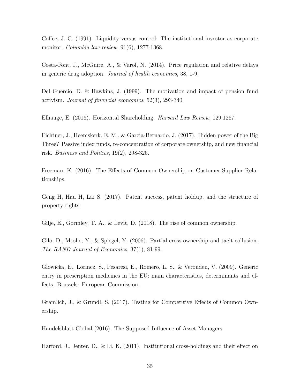Coffee, J. C. (1991). Liquidity versus control: The institutional investor as corporate monitor. *Columbia law review*, 91(6), 1277-1368.

Costa-Font, J., McGuire, A., & Varol, N. (2014). Price regulation and relative delays in generic drug adoption. Journal of health economics, 38, 1-9.

Del Guercio, D. & Hawkins, J. (1999). The motivation and impact of pension fund activism. Journal of financial economics, 52(3), 293-340.

Elhauge, E. (2016). Horizontal Shareholding. Harvard Law Review, 129:1267.

Fichtner, J., Heemskerk, E. M., & Garcia-Bernardo, J. (2017). Hidden power of the Big Three? Passive index funds, re-concentration of corporate ownership, and new financial risk. Business and Politics,  $19(2)$ ,  $298-326$ .

Freeman, K. (2016). The Effects of Common Ownership on Customer-Supplier Relationships.

Geng H, Hau H, Lai S. (2017). Patent success, patent holdup, and the structure of property rights.

Gilje, E., Gormley, T. A., & Levit, D. (2018). The rise of common ownership.

Gilo, D., Moshe, Y., & Spiegel, Y. (2006). Partial cross ownership and tacit collusion. The RAND Journal of Economics, 37(1), 81-99.

Glowicka, E., Lorincz, S., Pesaresi, E., Romero, L. S., & Verouden, V. (2009). Generic entry in prescription medicines in the EU: main characteristics, determinants and effects. Brussels: European Commission.

Gramlich, J., & Grundl, S. (2017). Testing for Competitive Effects of Common Ownership.

Handelsblatt Global (2016). The Supposed Influence of Asset Managers.

Harford, J., Jenter, D., & Li, K. (2011). Institutional cross-holdings and their effect on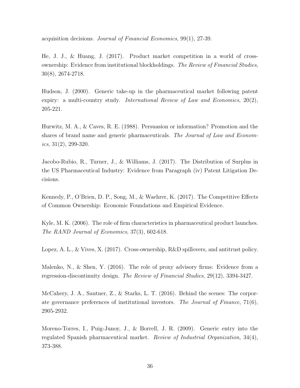acquisition decisions. Journal of Financial Economics, 99(1), 27-39.

He, J. J., & Huang, J. (2017). Product market competition in a world of crossownership: Evidence from institutional blockholdings. The Review of Financial Studies, 30(8), 2674-2718.

Hudson, J. (2000). Generic take-up in the pharmaceutical market following patent expiry: a multi-country study. International Review of Law and Economics,  $20(2)$ , 205-221.

Hurwitz, M. A., & Caves, R. E. (1988). Persuasion or information? Promotion and the shares of brand name and generic pharmaceuticals. The Journal of Law and Economics,  $31(2)$ ,  $299-320$ .

Jacobo-Rubio, R., Turner, J., & Williams, J. (2017). The Distribution of Surplus in the US Pharmaceutical Industry: Evidence from Paragraph (iv) Patent Litigation Decisions.

Kennedy, P., O'Brien, D. P., Song, M., & Waehrer, K. (2017). The Competitive Effects of Common Ownership: Economic Foundations and Empirical Evidence.

Kyle, M. K. (2006). The role of firm characteristics in pharmaceutical product launches. The RAND Journal of Economics, 37(3), 602-618.

Lopez, A. L., & Vives, X. (2017). Cross-ownership, R&D spillovers, and antitrust policy.

Malenko, N., & Shen, Y. (2016). The role of proxy advisory firms: Evidence from a regression-discontinuity design. The Review of Financial Studies, 29(12), 3394-3427.

McCahery, J. A., Sautner, Z., & Starks, L. T. (2016). Behind the scenes: The corporate governance preferences of institutional investors. The Journal of Finance, 71(6), 2905-2932.

Moreno-Torres, I., Puig-Junoy, J., & Borrell, J. R. (2009). Generic entry into the regulated Spanish pharmaceutical market. Review of Industrial Organization, 34(4), 373-388.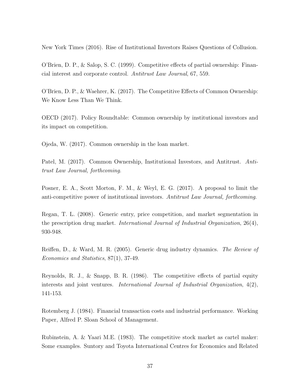New York Times (2016). Rise of Institutional Investors Raises Questions of Collusion.

O'Brien, D. P., & Salop, S. C. (1999). Competitive effects of partial ownership: Financial interest and corporate control. Antitrust Law Journal, 67, 559.

O'Brien, D. P., & Waehrer, K. (2017). The Competitive Effects of Common Ownership: We Know Less Than We Think.

OECD (2017). Policy Roundtable: Common ownership by institutional investors and its impact on competition.

Ojeda, W. (2017). Common ownership in the loan market.

Patel, M. (2017). Common Ownership, Institutional Investors, and Antitrust. Antitrust Law Journal, forthcoming.

Posner, E. A., Scott Morton, F. M., & Weyl, E. G. (2017). A proposal to limit the anti-competitive power of institutional investors. Antitrust Law Journal, forthcoming.

Regan, T. L. (2008). Generic entry, price competition, and market segmentation in the prescription drug market. International Journal of Industrial Organization, 26(4), 930-948.

Reiffen, D., & Ward, M. R. (2005). Generic drug industry dynamics. The Review of Economics and Statistics, 87(1), 37-49.

Reynolds, R. J., & Snapp, B. R. (1986). The competitive effects of partial equity interests and joint ventures. International Journal of Industrial Organization, 4(2), 141-153.

Rotemberg J. (1984). Financial transaction costs and industrial performance. Working Paper, Alfred P. Sloan School of Management.

Rubinstein, A. & Yaari M.E. (1983). The competitive stock market as cartel maker: Some examples. Suntory and Toyota International Centres for Economics and Related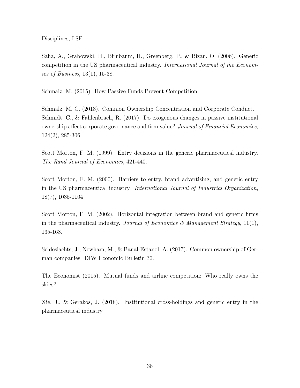Disciplines, LSE

Saha, A., Grabowski, H., Birnbaum, H., Greenberg, P., & Bizan, O. (2006). Generic competition in the US pharmaceutical industry. International Journal of the Economics of Business,  $13(1)$ , 15-38.

Schmalz, M. (2015). How Passive Funds Prevent Competition.

Schmalz, M. C. (2018). Common Ownership Concentration and Corporate Conduct. Schmidt, C., & Fahlenbrach, R. (2017). Do exogenous changes in passive institutional ownership affect corporate governance and firm value? Journal of Financial Economics, 124(2), 285-306.

Scott Morton, F. M. (1999). Entry decisions in the generic pharmaceutical industry. The Rand Journal of Economics, 421-440.

Scott Morton, F. M. (2000). Barriers to entry, brand advertising, and generic entry in the US pharmaceutical industry. International Journal of Industrial Organization, 18(7), 1085-1104

Scott Morton, F. M. (2002). Horizontal integration between brand and generic firms in the pharmaceutical industry. Journal of Economics & Management Strategy, 11(1), 135-168.

Seldeslachts, J., Newham, M., & Banal-Estanol, A. (2017). Common ownership of German companies. DIW Economic Bulletin 30.

The Economist (2015). Mutual funds and airline competition: Who really owns the skies?

Xie, J., & Gerakos, J. (2018). Institutional cross-holdings and generic entry in the pharmaceutical industry.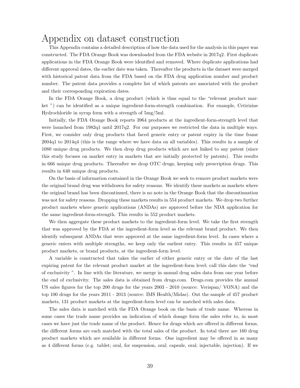## Appendix on dataset construction

This Appendix contains a detailed description of how the data used for the analysis in this paper was constructed. The FDA Orange Book was downloaded from the FDA website in 2017q2. First duplicate applications in the FDA Orange Book were identified and removed. Where duplicate applications had different approval dates, the earlier date was taken. Thereafter the products in the dataset were merged with historical patent data from the FDA based on the FDA drug application number and product number. The patent data provides a complete list of which patents are associated with the product and their corresponding expiration dates.

In the FDA Orange Book, a drug product (which is thus equal to the "relevant product market ") can be identified as a unique ingredient-form-strength combination. For example, Cetirizine Hydrochloride in syrup form with a strength of 5mg/5ml.

Initially, the FDA Orange Book reports 3964 products at the ingredient-form-strength level that were launched from 1982q1 until 2017q2. For our purposes we restricted the data in multiple ways. First, we consider only drug products that faced generic entry or patent expiry in the time frame 2004q1 to 2014q4 (this is the range where we have data on all variables). This results in a sample of 1080 unique drug products. We then drop drug products which are not linked to any patent (since this study focuses on market entry in markets that are initially protected by patents). This results in 666 unique drug products. Thereafter we drop OTC drugs, keeping only prescription drugs. This results in 640 unique drug products.

On the basis of information contained in the Orange Book we seek to remove product markets were the original brand drug was withdrawn for safety reasons. We identify these markets as markets where the original brand has been discontinued, there is no note in the Orange Book that the discontinuation was not for safety reasons. Dropping these markets results in 554 product markets. We drop two further product markets where generic applications (ANDAs) are approved before the NDA application for the same ingredient-form-strength. This results in 552 product markets.

We then aggregate these product markets to the ingredient-form level. We take the first strength that was approved by the FDA at the ingredient-form level as the relevant brand product. We then identify subsequent ANDAs that were approved at the same ingredient-form level. In cases where a generic enters with multiple strengths, we keep only the earliest entry. This results in 457 unique product markets, or brand products, at the ingredient-form level.

A variable is constructed that takes the earlier of either generic entry or the date of the last expiring patent for the relevant product market at the ingredient-form level; call this date the "end of exclusivity ". In line with the literature, we merge in annual drug sales data from one year before the end of exclusivity. The sales data is obtained from drugs.com. Drugs.com provides the annual US sales figures for the top 200 drugs for the years 2003 - 2010 (source: Verispan/ VONA) and the top 100 drugs for the years 2011 - 2013 (source: IMS Health/Midas). Out the sample of 457 product markets, 131 product markets at the ingredient-form level can be matched with sales data.

The sales data is matched with the FDA Orange book on the basis of trade name. Whereas in some cases the trade name provides an indication of which dosage form the sales refer to, in most cases we have just the trade name of the product. Hence for drugs which are offered in different forms, the different forms are each matched with the total sales of the product. In total there are 160 drug product markets which are available in different forms. One ingredient may be offered in as many as 4 different forms (e.g. tablet; oral, for suspension, oral; capsule, oral; injectable, injection). If we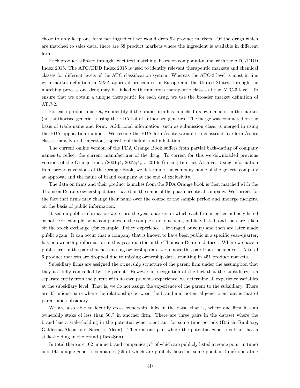chose to only keep one form per ingredient we would drop 92 product markets. Of the drugs which are matched to sales data, there are 68 product markets where the ingredient is available in different forms.

Each product is linked through exact text matching, based on compound-name, with the ATC/DDD Index 2015. The ATC/DDD Index 2015 is used to identify relevant therapeutic markets and chemical classes for different levels of the ATC classification system. Whereas the ATC-3 level is most in line with market definition in M&A approval procedures in Europe and the United States, through the matching process one drug may be linked with numerous therapeutic classes at the ATC-3 level. To ensure that we obtain a unique therapeutic for each drug, we use the broader market definition of ATC-2.

For each product market, we identify if the brand firm has launched its own generic in the market (an "authorised generic ") using the FDA list of authorised generics. The merge was conducted on the basis of trade name and form. Additional information, such as submission class, is merged in using the FDA application number. We recode the FDA form/route variable to construct five form/route classes namely oral, injection, topical, ophthalmic and inhalation.

The current online version of the FDA Orange Book suffers from partial back-dating of company names to reflect the current manufacturer of the drug. To correct for this we downloaded previous versions of the Orange Book (2001q4, 2002q4,..., 2014q4) using Internet Archive. Using information from previous versions of the Orange Book, we determine the company name of the generic company at approval and the name of brand company at the end of exclusivity.

The data on firms and their product launches from the FDA Orange book is then matched with the Thomson Reuters ownership dataset based on the name of the pharmaceutical company. We correct for the fact that firms may change their name over the course of the sample period and undergo mergers, on the basis of public information.

Based on public information we record the year-quarters in which each firm is either publicly listed or not. For example, some companies in the sample start out being publicly listed, and then are taken off the stock exchange (for example, if they experience a leveraged buyout) and then are later made public again. It can occur that a company that is known to have been public in a specific year-quarter, has no ownership information in this year-quarter in the Thomson Reuters dataset. Where we have a public firm in the pair that has missing ownership data we remove this pair from the analysis. A total 6 product markets are dropped due to missing ownership data, resulting in 451 product markets.

Subsidiary firms are assigned the ownership structure of the parent firm under the assumption that they are fully controlled by the parent. However in recognition of the fact that the subsidiary is a separate entity from the parent with its own previous experience, we determine all experience variables at the subsidiary level. That is, we do not assign the experience of the parent to the subsidiary. There are 43 unique pairs where the relationship between the brand and potential generic entrant is that of parent and subsidiary.

We are also able to identify cross ownership links in the data, that is, where one firm has an ownership stake of less than 50% in another firm. There are three pairs in the dataset where the brand has a stake-holding in the potential generic entrant for some time periods (Daiichi-Ranbaxy, Galderma-Alcon and Novartis-Alcon). There is one pair where the potential generic entrant has a stake-holding in the brand (Taro-Sun).

In total there are 102 unique brand companies (77 of which are publicly listed at some point in time) and 145 unique generic companies (69 of which are publicly listed at some point in time) operating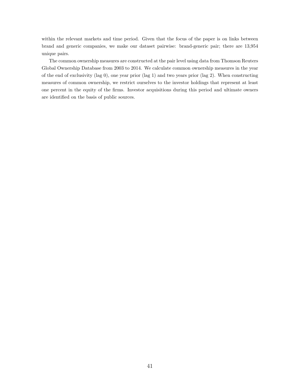within the relevant markets and time period. Given that the focus of the paper is on links between brand and generic companies, we make our dataset pairwise: brand-generic pair; there are 13,954 unique pairs.

The common ownership measures are constructed at the pair level using data from Thomson Reuters Global Ownership Database from 2003 to 2014. We calculate common ownership measures in the year of the end of exclusivity (lag 0), one year prior (lag 1) and two years prior (lag 2). When constructing measures of common ownership, we restrict ourselves to the investor holdings that represent at least one percent in the equity of the firms. Investor acquisitions during this period and ultimate owners are identified on the basis of public sources.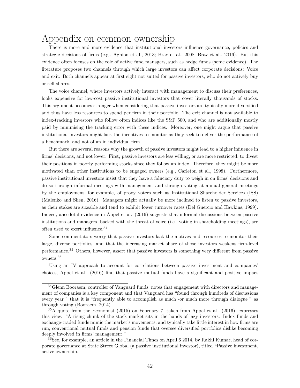# Appendix on common ownership

There is more and more evidence that institutional investors influence governance, policies and strategic decisions of firms (e.g., Aghion et al., 2013; Brav et al., 2008; Brav et al., 2016). But this evidence often focuses on the role of active fund managers, such as hedge funds (some evidence). The literature proposes two channels through which large investors can affect corporate decisions: Voice and exit. Both channels appear at first sight not suited for passive investors, who do not actively buy or sell shares.

The voice channel, where investors actively interact with management to discuss their preferences, looks expensive for low-cost passive institutional investors that cover literally thousands of stocks. This argument becomes stronger when considering that passive investors are typically more diversified and thus have less resources to spend per firm in their portfolio. The exit channel is not available to index-tracking investors who follow often indices like the S&P 500, and who are additionally mostly paid by minimising the tracking error with these indices. Moreover, one might argue that passive institutional investors might lack the incentives to monitor as they seek to deliver the performance of a benchmark, and not of an in individual firm.

But there are several reasons why the growth of passive investors might lead to a higher influence in firms' decisions, and not lower. First, passive investors are less willing, or are more restricted, to divest their positions in poorly performing stocks since they follow an index. Therefore, they might be more motivated than other institutions to be engaged owners (e.g., Carleton et al., 1998). Furthermore, passive institutional investors insist that they have a fiduciary duty to weigh in on firms' decisions and do so through informal meetings with management and through voting at annual general meetings by the employment, for example, of proxy voters such as Institutional Shareholder Services (ISS) (Malenko and Shen, 2016). Managers might actually be more inclined to listen to passive investors, as their stakes are sizeable and tend to exhibit lower turnover rates (Del Guercio and Hawkins, 1999). Indeed, anecdotal evidence in Appel et al. (2016) suggests that informal discussions between passive institutions and managers, backed with the threat of voice (i.e., voting in shareholding meetings), are often used to exert influence.<sup>34</sup>

Some commentators worry that passive investors lack the motives and resources to monitor their large, diverse portfolios, and that the increasing market share of those investors weakens firm-level performance.<sup>35</sup> Others, however, assert that passive investors is something very different from passive owners.<sup>36</sup>

Using an IV approach to account for correlations between passive investment and companies' choices, Appel et al. (2016) find that passive mutual funds have a significant and positive impact

<sup>&</sup>lt;sup>34</sup>Glenn Booraem, controller of Vanguard funds, notes that engagement with directors and management of companies is a key component and that Vanguard has "found through hundreds of discussions every year " that it is "frequently able to accomplish as much -or much more through dialogue " as through voting (Booraem, 2014).

 $35A$  quote from the Economist (2015) on February 7, taken from Appel et al. (2016), expresses this view: "A rising chunk of the stock market sits in the hands of lazy investors. Index funds and exchange-traded funds mimic the market's movements, and typically take little interest in how firms are run; conventional mutual funds and pension funds that oversee diversified portfolios dislike becoming deeply involved in firms' management."

<sup>36</sup>See, for example, an article in the Financial Times on April 6 2014, by Rakhi Kumar, head of corporate governance at State Street Global (a passive institutional investor), titled "Passive investment, active ownership."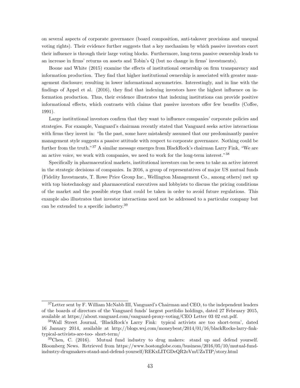on several aspects of corporate governance (board composition, anti-takover provisions and unequal voting rights). Their evidence further suggests that a key mechanism by which passive investors exert their influence is through their large voting blocks. Furthermore, long-term passive ownership leads to an increase in firms' returns on assets and Tobin's Q (but no change in firms' investments).

Boone and White (2015) examine the effects of institutional ownership on firm transparency and information production. They find that higher institutional ownership is associated with greater management disclosure; resulting in lower informational asymmetries. Interestingly, and in line with the findings of Appel et al. (2016), they find that indexing investors have the highest influence on information production. Thus, their evidence illustrates that indexing institutions can provide positive informational effects, which contrasts with claims that passive investors offer few benefits (Coffee, 1991).

Large institutional investors confirm that they want to influence companies' corporate policies and strategies. For example, Vanguard's chairman recently stated that Vanguard seeks active interactions with firms they invest in: "In the past, some have mistakenly assumed that our predominantly passive management style suggests a passive attitude with respect to corporate governance. Nothing could be further from the truth."<sup>37</sup> A similar message emerges from BlackRock's chairman Larry Fink, "We are an active voice, we work with companies, we need to work for the long-term interest."<sup>38</sup>

Specifically in pharmaceutical markets, institutional investors can be seen to take an active interest in the strategic decisions of companies. In 2016, a group of representatives of major US mutual funds (Fidelity Investments, T. Rowe Price Group Inc., Wellington Management Co., among others) met up with top biotechnology and pharmaceutical executives and lobbyists to discuss the pricing conditions of the market and the possible steps that could be taken in order to avoid future regulations. This example also illustrates that investor interactions need not be addressed to a particular company but can be extended to a specific industry.<sup>39</sup>

<sup>&</sup>lt;sup>37</sup>Letter sent by F. William McNabb III, Vanguard's Chairman and CEO, to the independent leaders of the boards of directors of the Vanguard funds' largest portfolio holdings, dated 27 February 2015, available at https://about.vanguard.com/vanguard-proxy-voting/CEO Letter 03 02 ext.pdf.

<sup>38</sup>Wall Street Journal, 'BlackRock's Larry Fink: typical activists are too short-term', dated 16 January 2014, available at http://blogs.wsj.com/moneybeat/2014/01/16/blackRocks-larry-finktypical-activists-are-too- short-term/

 $39$ Chen, C. (2016). Mutual fund industry to drug makers: stand up and defend yourself. Bloomberg News. Retrieved from https://www.bostonglobe.com/business/2016/05/10/mutual-fundindustry-drugmakers-stand-and-defend-yourself/REKxLITGDeQR2oVmUZaTIP/story.html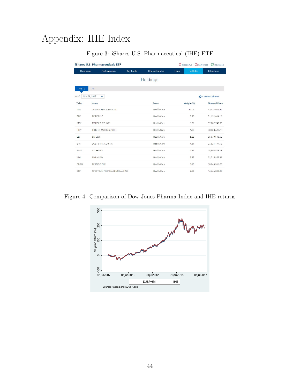# Appendix: IHE Index

|                       | iShares U.S. Pharmaceuticals ETF |                  |                 | Fact Sheet<br>Prospectus | Download              |
|-----------------------|----------------------------------|------------------|-----------------|--------------------------|-----------------------|
| Overview              | Performance                      | <b>Key Facts</b> | Characteristics | Portfolio<br>Fees        | Literature            |
|                       |                                  |                  | Holdings        |                          |                       |
| Top 10                | All                              |                  |                 |                          |                       |
| Nov 21, 2017<br>as of | $\checkmark$                     |                  |                 |                          | Custom Columns        |
| <b>Ticker</b>         | Name                             |                  | Sector          | Weight (%)               | <b>Notional Value</b> |
| <b>JNJ</b>            | <b>JOHNSON &amp; JOHNSON</b>     |                  | Health Care     | 11.07                    | 63,424,601.46         |
| <b>PFE</b>            | PFIZER INC                       |                  | Health Care     | 8.93                     | 51,152,864.16         |
| <b>MRK</b>            | MERCK & CO INC                   |                  | Health Care     | 6.86                     | 39,282,742.53         |
| <b>BMY</b>            | <b>BRISTOL MYERS SQUIBB</b>      |                  | Health Care     | 6.68                     | 38,258,648.92         |
| LLY                   | <b>ELI LILLY</b>                 |                  | Health Care     | 6.22                     | 35,630,543.62         |
| ZTS                   | ZOETIS INC CLASS A               |                  | Health Care     | 4.81                     | 27,521,197.12         |
| AGN                   | ALLERGAN                         |                  | Health Care     | 4.51                     | 25,808,546.73         |
| MYL                   | <b>MYLAN NV</b>                  |                  | Health Care     | 3.97                     | 22,715,958.96         |
| PRGO                  | PERRIGO PLC                      |                  | Health Care     | 3.15                     | 18,043,566.25         |
| SPPI                  | SPECTRUM PHARMACEUTICALS INC     |                  | Health Care     | 2.56                     | 14,666,800.00         |

### Figure 3: iShares U.S. Pharmaceutical (IHE) ETF

Figure 4: Comparison of Dow Jones Pharma Index and IHE returns

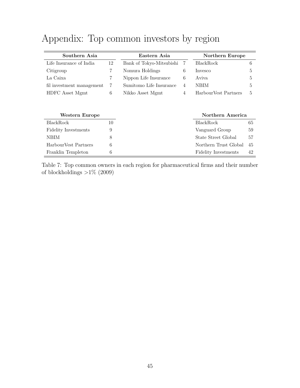# Appendix: Top common investors by region

| Southern Asia               | Eastern Asia | Northern Europe          |                |                       |    |
|-----------------------------|--------------|--------------------------|----------------|-----------------------|----|
| Life Insurance of India     | 12           | Bank of Tokyo-Mitsubishi | 7              | BlackRock             | 6  |
| Citigroup                   | 7            | Nomura Holdings          | 6              | Invesco               | 5  |
| La Caixa                    | 7            | Nippon Life Insurance    | 6              | A viva                | 5  |
| fil investment management   | 7            | Sumitomo Life Insurance  | $\overline{4}$ | <b>NBIM</b>           | 5  |
| HDFC Asset Mgmt             | 6            | Nikko Asset Mgmt         | $\overline{4}$ | HarbourVest Partners  | 5  |
|                             |              |                          |                |                       |    |
|                             |              |                          |                |                       |    |
| <b>Western Europe</b>       |              |                          |                | Northern America      |    |
| BlackRock                   | 10           |                          |                | BlackRock             | 65 |
| <b>Fidelity Investments</b> | 9            |                          |                | Vanguard Group        | 59 |
| NBIM                        | 8            |                          |                | State Street Global   | 57 |
| HarbourVest Partners        | 6            |                          |                | Northern Trust Global | 45 |
| Franklin Templeton          | 6            |                          |                | Fidelity Investments  | 42 |

Table 7: Top common owners in each region for pharmaceutical firms and their number of blockholdings  $>1\%$  (2009)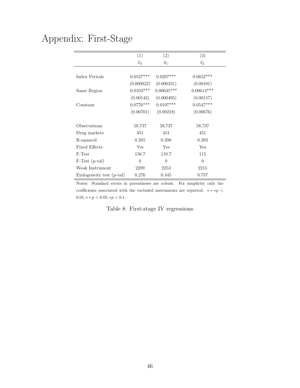# Appendix: First-Stage

|                          | (1)         | (2)          | (3)          |
|--------------------------|-------------|--------------|--------------|
|                          | $\delta_S$  | $\delta_C$   | $\delta_L$   |
|                          |             |              |              |
| Index Periods            | $0.0527***$ | $0.0207***$  | $0.0652***$  |
|                          | (0.000822)  | (0.000331)   | (0.00101)    |
| Same Region              | $0.0103***$ | $0.00635***$ | $0.00614***$ |
|                          | (0.00143)   | (0.000495)   | (0.00157)    |
| Constant                 | $0.0776***$ | $0.0197***$  | $0.0547***$  |
|                          | (0.00701)   | (0.00218)    | (0.00676)    |
|                          |             |              |              |
| Observations             | 58,737      | 58,737       | 58,737       |
| Drug markets             | 451         | 451          | 451          |
| R-squared                | 0.285       | 0.298        | 0.293        |
| <b>Fixed Effects</b>     | Yes         | Yes          | Yes          |
| F-Test                   | 156.7       | 110.7        | 115          |
| $F-Test(p-val)$          | $\Omega$    | $\theta$     | $\theta$     |
| Weak Instrument          | 2289        | 2253         | 2215         |
| Endogeneity test (p-val) | 0.276       | 0.445        | 0.757        |

Notes: Standard errors in parentheses are robust. For simplicity only the coefficients associated with the excluded instruments are reported.  $\; * * p \, < \,$  $0.01$ ,  $*$   $*$   $p$  < 0.05,  $*$  $p$  < 0.1.

Table 8: First-stage IV regressions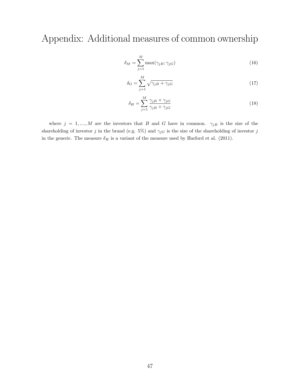Appendix: Additional measures of common ownership

$$
\delta_M = \sum_{j=1}^M \max(\gamma_{jB}; \gamma_{jG})
$$
\n(16)

$$
\delta_G = \sum_{j=1}^{M} \sqrt{\gamma_{jB} + \gamma_{jG}} \tag{17}
$$

$$
\delta_H = \sum_{j=1}^{M} \frac{\gamma_{jB} \times \gamma_{jG}}{\gamma_{jB} + \gamma_{jG}}
$$
\n(18)

where  $j = 1, ..., M$  are the investors that B and G have in common.  $\gamma_{jB}$  is the size of the shareholding of investor  $j$  in the brand (e.g. 5%) and  $\gamma_{jG}$  is the size of the shareholding of investor  $j$ in the generic. The measure  $\delta_H$  is a variant of the measure used by Harford et al. (2011).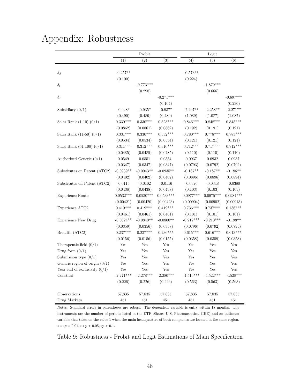# Appendix: Robustness

|                                  |             | Probit      |             | Logit                |             |             |
|----------------------------------|-------------|-------------|-------------|----------------------|-------------|-------------|
|                                  | (1)         | (2)         | (3)         | (4)                  | (5)         | (6)         |
|                                  |             |             |             |                      |             |             |
| $\delta_S$                       | $-0.257**$  |             |             | $-0.573**$           |             |             |
|                                  | (0.100)     |             |             | (0.224)              |             |             |
| $\delta_C$                       |             | $-0.773***$ |             |                      | $-1.879***$ |             |
|                                  |             | (0.298)     |             |                      | (0.666)     |             |
| $\delta_L$                       |             |             | $-0.271***$ |                      |             | $-0.697***$ |
|                                  |             |             | (0.104)     |                      |             | (0.230)     |
| Subsidiary $(0/1)$               | $-0.948*$   | $-0.935*$   | $-0.937*$   | $-2.297**$           | $-2.258**$  | $-2.271**$  |
|                                  | (0.490)     | (0.489)     | (0.489)     | (1.089)              | (1.087)     | (1.087)     |
| Sales Rank $(1-10)$ $(0/1)$      | $0.330***$  | $0.330***$  | $0.328***$  | $0.846***$           | $0.848***$  | $0.845***$  |
|                                  | (0.0862)    | (0.0861)    | (0.0862)    | (0.192)              | (0.191)     | (0.191)     |
| Sales Rank $(11-50)$ $(0/1)$     | $0.331***$  | $0.330***$  | $0.332***$  | $0.780***$           | $0.778***$  | $0.783***$  |
|                                  | (0.0534)    | (0.0534)    | (0.0534)    | (0.121)              | (0.121)     | (0.121)     |
| Sales Rank $(51-100)$ $(0/1)$    | $0.311***$  | $0.312***$  | $0.310***$  | $0.712***$           | $0.717***$  | $0.712***$  |
|                                  | (0.0485)    | (0.0485)    | (0.0485)    | (0.110)              | (0.110)     | (0.110)     |
| Authorized Generic $(0/1)$       | 0.0549      | 0.0551      | 0.0554      | 0.0937               | 0.0932      | 0.0937      |
|                                  | (0.0347)    | (0.0347)    | (0.0347)    | (0.0793)             | (0.0792)    | (0.0792)    |
| Substitutes on Patent (ATC2)     | $-0.0939**$ | $-0.0943**$ | $-0.0935**$ | $-0.187**$           | $-0.187**$  | $-0.186**$  |
|                                  | (0.0402)    | (0.0402)    | (0.0402)    | (0.0896)             | (0.0896)    | (0.0894)    |
| Substitutes off Patent (ATC2)    | $-0.0115$   | $-0.0102$   | $-0.0116$   | $-0.0370$            | $-0.0348$   | $-0.0380$   |
|                                  | (0.0438)    | (0.0438)    | (0.0438)    | (0.103)              | (0.103)     | (0.103)     |
| <b>Experience Route</b>          | $0.0532***$ | $0.0530***$ | $0.0533***$ | $0.0977***$          | $0.0975***$ | $0.0984***$ |
|                                  | (0.00421)   | (0.00420)   | (0.00423)   | (0.00904)            | (0.00902)   | (0.00913)   |
| Experience ATC2                  | $0.419***$  | $0.419***$  | $0.419***$  | $0.736***$           | $0.737***$  | $0.736***$  |
|                                  | (0.0461)    | (0.0461)    | (0.0461)    | (0.101)              | (0.101)     | (0.101)     |
| <b>Experience New Drug</b>       | $-0.0824**$ | $-0.0840**$ | $-0.0800**$ | $-0.212***$          | $-0.210***$ | $-0.198**$  |
|                                  | (0.0359)    | (0.0356)    | (0.0358)    | (0.0796)             | (0.0792)    | (0.0795)    |
| Breadth (ATC2)                   | $0.237***$  | $0.237***$  | $0.236***$  | $0.615***$           | $0.616***$  | $0.613***$  |
|                                  | (0.0156)    | (0.0156)    | (0.0155)    | (0.0358)             | (0.0359)    | (0.0358)    |
| Therapeutic field $(0/1)$        | Yes         | Yes         | Yes         | Yes                  | Yes         | Yes         |
| Drug form $(0/1)$                | Yes         | Yes         | Yes         | Yes                  | Yes         | Yes         |
| Submission type $(0/1)$          | Yes         | Yes         | Yes         | Yes                  | Yes         | Yes         |
| Generic region of origin $(0/1)$ | Yes         | Yes         | Yes         | $\operatorname{Yes}$ | Yes         | Yes         |
| Year end of exclusivity $(0/1)$  | Yes         | Yes         | Yes         | Yes                  | Yes         | Yes         |
| Constant                         | $-2.271***$ | $-2.278***$ | $-2.280***$ | $-4.516***$          | $-4.522***$ | $-4.528***$ |
|                                  | (0.226)     | (0.226)     | (0.226)     | (0.563)              | (0.563)     | (0.563)     |
|                                  |             |             |             |                      |             |             |
| Observations                     | 57,835      | 57,835      | 57,835      | 57,835               | 57,835      | 57,835      |
| Drug Markets                     | 451         | 451         | 451         | 451                  | 451         | 451         |

Notes: Standard errors in parentheses are robust. The dependent variable is entry within 18 months. The instruments are the number of periods listed in the ETF iShares U.S. Pharmaceutical (IHE) and an indicator variable that takes on the value 1 when the main headquarters of both companies are located in the same region.  $\ast \ast \ast p < 0.01, \ast \ast \, p < 0.05, \ast p < 0.1.$ 

Table 9: Robustness - Probit and Logit Estimations of Main Specification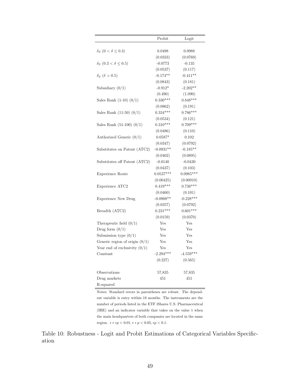|                                       | Probit      | Logit       |
|---------------------------------------|-------------|-------------|
|                                       |             |             |
| $\delta_S$ (0 < $\delta \leq 0.3$ )   | 0.0498      | 0.0988      |
|                                       | (0.0333)    | (0.0769)    |
| $\delta_S$ (0.3 < $\delta \leq 0.5$ ) | $-0.0773$   | $-0.135$    |
|                                       | (0.0537)    | (0.117)     |
| $\delta_S$ ( $\delta > 0.5$ )         | $-0.174**$  | $-0.411**$  |
|                                       | (0.0843)    | (0.181)     |
| Subsidiary $(0/1)$                    | $-0.912*$   | $-2.202**$  |
|                                       | (0.490)     | (1.090)     |
| Sales Rank $(1-10)$ $(0/1)$           | $0.330***$  | $0.848***$  |
|                                       | (0.0862)    | (0.191)     |
| Sales Rank $(11-50)$ $(0/1)$          | $0.334***$  | $0.786***$  |
|                                       | (0.0534)    | (0.121)     |
| Sales Rank $(51-100)$ $(0/1)$         | $0.310***$  | $0.709***$  |
|                                       | (0.0486)    | (0.110)     |
| Authorized Generic $(0/1)$            | $0.0587*$   | 0.102       |
|                                       | (0.0347)    | (0.0792)    |
| Substitutes on Patent (ATC2)          | $-0.0931**$ | $-0.185**$  |
|                                       | (0.0402)    | (0.0895)    |
| Substitutes off Patent (ATC2)         | $-0.0140$   | $-0.0430$   |
|                                       | (0.0437)    | (0.103)     |
| Experience Route                      | $0.0537***$ | $0.0985***$ |
|                                       | (0.00425)   | (0.00910)   |
| Experience ATC2                       | $0.419***$  | $0.738***$  |
|                                       | (0.0460)    | (0.101)     |
| <b>Experience New Drug</b>            | $-0.0908**$ | $-0.228***$ |
|                                       | (0.0357)    | (0.0792)    |
| Breadth (ATC2)                        | $0.231***$  | $0.601***$  |
|                                       | (0.0159)    | (0.0370)    |
| Therapeutic field $(0/1)$             | Yes         | Yes         |
| Drug form $(0/1)$                     | Yes         | Yes         |
| Submission type $(0/1)$               | Yes         | Yes         |
| Generic region of origin $(0/1)$      | Yes         | Yes         |
| Year end of exclusivity $(0/1)$       | Yes         | Yes         |
| Constant                              | $-2.294***$ | $-4.559***$ |
|                                       | (0.227)     | (0.565)     |
|                                       |             |             |
| Observations                          | 57,835      | 57,835      |
| Drug markets                          | 451         | 451         |
| R-squared                             |             |             |

Notes: Standard errors in parentheses are robust. The dependent variable is entry within 18 months. The instruments are the number of periods listed in the ETF iShares U.S. Pharmaceutical (IHE) and an indicator variable that takes on the value 1 when the main headquarters of both companies are located in the same region.  $** \ast p < 0.01, ** p < 0.05, * p < 0.1$ .

Table 10: Robustness - Logit and Probit Estimations of Categorical Variables Specification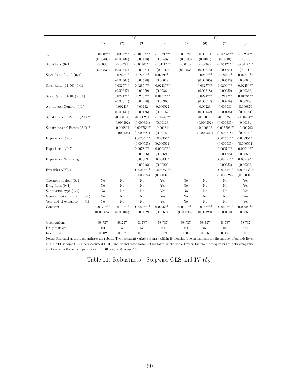|                                  |                |                | <b>OLS</b>     |              |             | IV             |                |              |  |  |
|----------------------------------|----------------|----------------|----------------|--------------|-------------|----------------|----------------|--------------|--|--|
|                                  | (1)            | (2)            | (3)            | (4)          | (5)         | (6)            | (7)            | (8)          |  |  |
|                                  |                |                |                |              |             |                |                |              |  |  |
| $\delta_S$                       | $0.0390***$    | $0.0382***$    | $-0.0151***$   | $-0.0121***$ | 0.0122      | 0.00919        | $-0.0695***$   | $-0.0234**$  |  |  |
|                                  | (0.00435)      | (0.00434)      | (0.00413)      | (0.00437)    | (0.0109)    | (0.0107)       | (0.0118)       | (0.0116)     |  |  |
| Subsidiary $(0/1)$               | $-0.00881$     | $-0.00773$     | $-0.0430***$   | $-0.0411***$ | $-0.0108$   | $-0.00999$     | $-0.0512***$   | $-0.0427***$ |  |  |
|                                  | (0.00832)      | (0.00842)      | (0.00971)      | (0.0102)     | (0.00835)   | (0.00845)      | (0.00997)      | (0.0103)     |  |  |
| Sales Rank $(1-10)$ $(0/1)$      |                | $0.0242***$    | $0.0226***$    | $0.0219***$  |             | $0.0252***$    | $0.0245***$    | $0.0221***$  |  |  |
|                                  |                | (0.00561)      | (0.00528)      | (0.00619)    |             | (0.00565)      | (0.00533)      | (0.00620)    |  |  |
| Sales Rank $(11-50)$ $(0/1)$     |                | $0.0325***$    | $0.0285***$    | $0.0223***$  |             | $0.0327***$    | $0.0290***$    | $0.0225***$  |  |  |
|                                  |                | (0.00347)      | (0.00329)      | (0.00364)    |             | (0.00348)      | (0.00330)      | (0.00366)    |  |  |
| Sales Rank $(51-100)$ $(0/1)$    |                | $0.0221***$    | $0.0208***$    | $0.0177***$  |             | $0.0224***$    | $0.0214***$    | $0.0178***$  |  |  |
|                                  |                | (0.00312)      | (0.00298)      | (0.00308)    |             | (0.00312)      | (0.00299)      | (0.00308)    |  |  |
| Authorized Generic $(0/1)$       |                | $0.00243*$     | 0.00132        | 0.000922     |             | 0.00223        | 0.000981       | 0.000870     |  |  |
|                                  |                | (0.00141)      | (0.00136)      | (0.00152)    |             | (0.00142)      | (0.00136)      | (0.00151)    |  |  |
| Substitutes on Patent (ATC2)     |                | $-0.000103$    | $-0.000281$    | $-0.00445**$ |             | $-0.000128$    | $-0.000276$    | $-0.00454**$ |  |  |
|                                  |                | (0.000392)     | (0.000384)     | (0.00183)    |             | (0.000392)     | (0.000385)     | (0.00184)    |  |  |
| Substitutes off Patent (ATC2)    |                | $-0.000821$    | $-0.00375***$  | $-0.000814$  |             | $-0.000608$    | $-0.00350***$  | $-0.000762$  |  |  |
|                                  |                | (0.000525)     | (0.000521)     | (0.00152)    |             | (0.000521)     | (0.000518)     | (0.00152)    |  |  |
| Experience Route                 |                |                | $0.00764***$   | $0.00835***$ |             |                | $0.00765***$   | $0.00835***$ |  |  |
|                                  |                |                | (0.000535)     | (0.000564)   |             |                | (0.000535)     | (0.000564)   |  |  |
| Experience ATC2                  |                |                | $0.0678***$    | $0.0602***$  |             |                | $0.0667***$    | $0.0601***$  |  |  |
|                                  |                |                | (0.00696)      | (0.00699)    |             |                | (0.00698)      | (0.00699)    |  |  |
| <b>Experience New Drug</b>       |                |                | 0.00303        | $0.00434*$   |             |                | $0.00849***$   | $0.00549**$  |  |  |
|                                  |                |                | (0.00216)      | (0.00222)    |             |                | (0.00233)      | (0.00233)    |  |  |
| Breadth (ATC2)                   |                |                | $0.00258***$   | $0.00325***$ |             |                | $0.00364***$   | $0.00343***$ |  |  |
|                                  |                |                | (0.000874)     | (0.000920)   |             |                | (0.000924)     | (0.000946)   |  |  |
| Therapeutic field $(0/1)$        | N <sub>o</sub> | N <sub>o</sub> | N <sub>o</sub> | Yes          | No          | N <sub>o</sub> | No             | Yes          |  |  |
| Drug form $(0/1)$                | No             | $\rm No$       | No             | Yes          | No          | No             | No             | Yes          |  |  |
| Submission type $(0/1)$          | No             | N <sub>o</sub> | N <sub>o</sub> | Yes          | No          | No             | N <sub>o</sub> | Yes          |  |  |
| Generic region of origin $(0/1)$ | No             | $\rm No$       | $\rm No$       | Yes          | No          | $\rm No$       | No             | Yes          |  |  |
| Year end of exclusivity $(0/1)$  | N <sub>o</sub> | No             | No             | Yes          | No          | No             | No             | Yes          |  |  |
| Constant                         | $0.0171***$    | $0.0139***$    | $0.00548***$   | $0.0296***$  | $0.0191***$ | $0.0157***$    | $0.00698***$   | $0.0299***$  |  |  |
|                                  | (0.000587)     | (0.00104)      | (0.00102)      | (0.00674)    | (0.000982)  | (0.00129)      | (0.00110)      | (0.00676)    |  |  |
| Observations                     | 58,737         | 58,737         | 58,737         | 58,737       | 58,737      | 58,737         | 58,737         | 58,737       |  |  |
| Drug markets                     | 451            | 451            | 451            | 451          | 451         | 451            | 451            | 451          |  |  |
| R-squared                        | 0.002          | 0.007          | 0.069          | 0.079        | 0.001       | 0.006          | 0.066          | 0.079        |  |  |

Notes: Standard errors in parentheses are robust. The dependent variable is entry within 18 months. The instruments are the number of periods listed in the ETF iShares U.S. Pharmaceutical (IHE) and an indicator variable that takes on the value 1 when the main headquarters of both companies are located in the same region.  $**\ast p < 0.01, **\, p < 0.05, *p < 0.1$ .

Table 11: Robustness - Stepwise OLS and IV $(\delta_S)$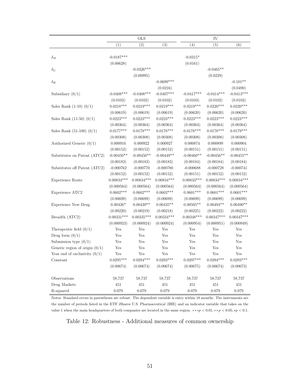|                                  |              | <b>OLS</b>   |                      | IV           |              |              |  |
|----------------------------------|--------------|--------------|----------------------|--------------|--------------|--------------|--|
|                                  | (1)          | (2)          | (3)                  | (4)          | (5)          | (6)          |  |
|                                  |              |              |                      |              |              |              |  |
| $\delta_M$                       | $-0.0187***$ |              |                      | $-0.0315*$   |              |              |  |
|                                  | (0.00628)    |              |                      | (0.0161)     |              |              |  |
| $\delta_G$                       |              | $-0.0326***$ |                      |              | $-0.0465**$  |              |  |
|                                  |              | (0.00995)    |                      |              | (0.0229)     |              |  |
| $\delta_H$                       |              |              | $-0.0699$ ***        |              |              | $-0.101**$   |  |
|                                  |              |              | (0.0216)             |              |              | (0.0490)     |  |
| Subsidiary $(0/1)$               | $-0.0408***$ | $-0.0408***$ | $-0.0407***$         | $-0.0417***$ | $-0.0414***$ | $-0.0413***$ |  |
|                                  | (0.0102)     | (0.0102)     | (0.0102)             | (0.0103)     | (0.0102)     | (0.0102)     |  |
| Sales Rank $(1-10)$ $(0/1)$      | $0.0218***$  | $0.0219***$  | $0.0219***$          | $0.0219***$  | $0.0220***$  | $0.0220***$  |  |
|                                  | (0.00619)    | (0.00619)    | (0.00619)            | (0.00620)    | (0.00620)    | (0.00620)    |  |
| Sales Rank $(11-50)$ $(0/1)$     | $0.0223***$  | $0.0223***$  | $0.0223***$          | $0.0223***$  | $0.0223***$  | $0.0223***$  |  |
|                                  | (0.00364)    | (0.00364)    | (0.00364)            | (0.00364)    | (0.00364)    | (0.00364)    |  |
| Sales Rank $(51-100)$ $(0/1)$    | $0.0177***$  | $0.0178***$  | $0.0178***$          | $0.0178***$  | $0.0178***$  | $0.0179***$  |  |
|                                  | (0.00308)    | (0.00308)    | (0.00308)            | (0.00308)    | (0.00308)    | (0.00308)    |  |
| Authorized Generic $(0/1)$       | 0.000916     | 0.000922     | 0.000927             | 0.000874     | 0.000899     | 0.000904     |  |
|                                  | (0.00152)    | (0.00152)    | (0.00152)            | (0.00151)    | (0.00151)    | (0.00151)    |  |
| Substitutes on Patent (ATC2)     | $-0.00450**$ | $-0.00450**$ | $-0.00449**$         | $-0.00460**$ | $-0.00456**$ | $-0.00455**$ |  |
|                                  | (0.00183)    | (0.00183)    | (0.00183)            | (0.00184)    | (0.00184)    | (0.00184)    |  |
| Substitutes off Patent (ATC2)    | $-0.000762$  | $-0.000770$  | $-0.000780$          | $-0.000688$  | $-0.000728$  | $-0.000741$  |  |
|                                  | (0.00152)    | (0.00152)    | (0.00152)            | (0.00151)    | (0.00152)    | (0.00152)    |  |
| Experience Route                 | $0.00834***$ | $0.00834***$ | $0.00834***$         | $0.00833***$ | $0.00834***$ | $0.00834***$ |  |
|                                  | (0.000564)   | (0.000564)   | (0.000564)           | (0.000564)   | (0.000564)   | (0.000564)   |  |
| Experience ATC2                  | $0.0602***$  | $0.0602***$  | $0.0602***$          | $0.0601***$  | $0.0601***$  | $0.0601***$  |  |
|                                  | (0.00699)    | (0.00699)    | (0.00699)            | (0.00699)    | (0.00699)    | (0.00699)    |  |
| <b>Experience New Drug</b>       | $0.00426*$   | $0.00439**$  | $0.00435**$          | $0.00505**$  | $0.00494**$  | $0.00490**$  |  |
|                                  | (0.00220)    | (0.00219)    | (0.00218)            | (0.00225)    | (0.00222)    | (0.00222)    |  |
| Breadth (ATC2)                   | $0.00331***$ | $0.00335***$ | $0.00334***$         | $0.00348***$ | $0.00347***$ | $0.00347***$ |  |
|                                  | (0.000923)   | (0.000924)   | (0.000924)           | (0.000954)   | (0.000951)   | (0.000949)   |  |
| Therapeutic field $(0/1)$        | Yes          | Yes          | Yes                  | Yes          | Yes          | Yes          |  |
| Drug form $(0/1)$                | Yes          | Yes          | Yes                  | Yes          | Yes          | Yes          |  |
| Submission type $(0/1)$          | Yes          | Yes          | Yes                  | Yes          | Yes          | Yes          |  |
| Generic region of origin $(0/1)$ | Yes          | Yes          | Yes                  | Yes          | Yes          | Yes          |  |
| Year end of exclusivity $(0/1)$  | Yes          | Yes          | $\operatorname{Yes}$ | Yes          | Yes          | Yes          |  |
| Constant                         | $0.0295***$  | $0.0294***$  | $0.0293***$          | $0.0297***$  | $0.0294***$  | $0.0293***$  |  |
|                                  | (0.00674)    | (0.00674)    | (0.00674)            | (0.00675)    | (0.00674)    | (0.00673)    |  |
| Observations                     | 58,737       | 58,737       | 58,737               | 58,737       | 58,737       | 58,737       |  |
| Drug Markets                     | 451          | 451          | 451                  | 451          | 451          | 451          |  |
| R-squared                        | 0.079        | $0.079\,$    | 0.079                | $0.079\,$    | 0.079        | 0.079        |  |

Notes: Standard errors in parentheses are robust. The dependent variable is entry within 18 months. The instruments are the number of periods listed in the ETF iShares U.S. Pharmaceutical (IHE) and an indicator variable that takes on the value 1 when the main headquarters of both companies are located in the same region. \*\*\* $p < 0.01$ , \*\* $p < 0.05$ , \* $p < 0.1$ .

Table 12: Robustness - Additional measures of common ownership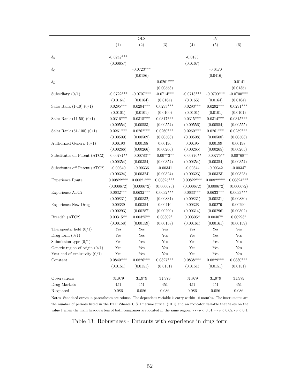|                                  |              | <b>OLS</b>           |                      | IV           |              |                      |  |
|----------------------------------|--------------|----------------------|----------------------|--------------|--------------|----------------------|--|
|                                  | (1)          | (2)                  | (3)                  | (4)          | (5)          | (6)                  |  |
|                                  |              |                      |                      |              |              |                      |  |
| $\delta_S$                       | $-0.0242***$ |                      |                      | $-0.0183$    |              |                      |  |
|                                  | (0.00657)    |                      |                      | (0.0167)     |              |                      |  |
| $\delta_C$                       |              | $-0.0723***$         |                      |              | $-0.0470$    |                      |  |
|                                  |              | (0.0186)             |                      |              | (0.0416)     |                      |  |
| $\delta_L$                       |              |                      | $-0.0261***$         |              |              | $-0.0141$            |  |
|                                  |              |                      | (0.00558)            |              |              | (0.0135)             |  |
| Subsidiary $(0/1)$               | $-0.0722***$ | $-0.0707***$         | $-0.0714***$         | $-0.0713***$ | $-0.0700***$ | $-0.0700***$         |  |
|                                  | (0.0164)     | (0.0164)             | (0.0164)             | (0.0165)     | (0.0164)     | (0.0164)             |  |
| Sales Rank $(1-10)$ $(0/1)$      | $0.0295***$  | $0.0294***$          | $0.0293***$          | $0.0293***$  | $0.0292***$  | $0.0291***$          |  |
|                                  | (0.0101)     | (0.0101)             | (0.0100)             | (0.0101)     | (0.0101)     | (0.0101)             |  |
| Sales Rank $(11-50)$ $(0/1)$     | $0.0316***$  | $0.0315***$          | $0.0317***$          | $0.0315***$  | $0.0314***$  | $0.0315***$          |  |
|                                  | (0.00554)    | (0.00553)            | (0.00554)            | (0.00556)    | (0.00554)    | (0.00555)            |  |
| Sales Rank $(51-100)$ $(0/1)$    | $0.0261***$  | $0.0262***$          | $0.0260***$          | $0.0260***$  | $0.0261***$  | $0.0259***$          |  |
|                                  | (0.00509)    | (0.00509)            | (0.00508)            | (0.00508)    | (0.00508)    | (0.00508)            |  |
| Authorized Generic $(0/1)$       | 0.00193      | 0.00198              | 0.00196              | 0.00195      | 0.00199      | 0.00198              |  |
|                                  | (0.00266)    | (0.00266)            | (0.00266)            | (0.00265)    | (0.00265)    | (0.00265)            |  |
| Substitutes on Patent (ATC2)     | $-0.00781**$ | $-0.00783**$         | $-0.00773**$         | $-0.00776**$ | $-0.00775**$ | $-0.00768**$         |  |
|                                  | (0.00354)    | (0.00354)            | (0.00354)            | (0.00354)    | (0.00354)    | (0.00354)            |  |
| Substitutes off Patent (ATC2)    | $-0.00340$   | $-0.00336$           | $-0.00341$           | $-0.00344$   | $-0.00342$   | $-0.00347$           |  |
|                                  | (0.00324)    | (0.00324)            | (0.00324)            | (0.00323)    | (0.00323)    | (0.00323)            |  |
| Experience Route                 | $0.00822***$ | $0.00821***$         | $0.00825***$         | $0.00822***$ | $0.00822***$ | $0.00824***$         |  |
|                                  | (0.000672)   | (0.000672)           | (0.000673)           | (0.000672)   | (0.000672)   | (0.000672)           |  |
| Experience ATC2                  | $0.0632***$  | $0.0632***$          | $0.0632***$          | $0.0633***$  | $0.0633***$  | $0.0633***$          |  |
|                                  | (0.00831)    | (0.00832)            | (0.00831)            | (0.00831)    | (0.00831)    | (0.00830)            |  |
| <b>Experience New Drug</b>       | 0.00389      | 0.00354              | 0.00416              | 0.00328      | 0.00279      | 0.00290              |  |
|                                  | (0.00293)    | (0.00287)            | (0.00290)            | (0.00314)    | (0.00296)    | (0.00302)            |  |
| Breadth (ATC2)                   | $0.00315**$  | $0.00325**$          | $0.00309*$           | $0.00305*$   | $0.00307*$   | $0.00293*$           |  |
|                                  | (0.00158)    | (0.00159)            | (0.00158)            | (0.00161)    | (0.00161)    | (0.00159)            |  |
| Therapeutic field $(0/1)$        | Yes          | $\operatorname{Yes}$ | Yes                  | Yes          | Yes          | Yes                  |  |
| Drug form $(0/1)$                | Yes          | $\operatorname{Yes}$ | Yes                  | Yes          | Yes          | Yes                  |  |
| Submission type $(0/1)$          | Yes          | Yes                  | Yes                  | Yes          | Yes          | Yes                  |  |
| Generic region of origin $(0/1)$ | Yes          | Yes                  | Yes                  | Yes          | Yes          | Yes                  |  |
| Year end of exclusivity $(0/1)$  | Yes          | $\operatorname{Yes}$ | $\operatorname{Yes}$ | Yes          | Yes          | $\operatorname{Yes}$ |  |
| Constant                         | $0.0840***$  | $0.0826***$          | $0.0827***$          | $0.0838***$  | $0.0829***$  | $0.0830***$          |  |
|                                  |              |                      |                      |              |              |                      |  |
|                                  | (0.0151)     | (0.0151)             | (0.0151)             | (0.0151)     | (0.0151)     | (0.0151)             |  |
| Observations                     | 31,979       | 31,979               | 31,979               | 31,979       | 31,979       | 31,979               |  |
| Drug Markets                     | 451          | 451                  | 451                  | 451          | 451          | 451                  |  |
| R-squared                        | 0.086        | $0.086\,$            | 0.086                | 0.086        | 0.086        | 0.086                |  |

Notes: Standard errors in parentheses are robust. The dependent variable is entry within 18 months. The instruments are the number of periods listed in the ETF iShares U.S. Pharmaceutical (IHE) and an indicator variable that takes on the value 1 when the main headquarters of both companies are located in the same region. \*\*\* $p < 0.01$ , \*\* $p < 0.05$ , \* $p < 0.1$ .

Table 13: Robustness - Entrants with experience in drug form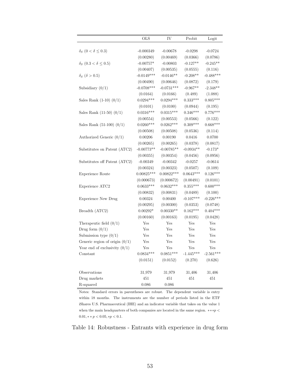|                                       | <b>OLS</b>   | IV           | Probit      | Logit       |
|---------------------------------------|--------------|--------------|-------------|-------------|
| $\delta_S$ $(0 < \delta \leq 0.3)$    | $-0.000349$  | $-0.00678$   | $-0.0298$   | $-0.0724$   |
|                                       | (0.00280)    | (0.00469)    | (0.0366)    | (0.0786)    |
| $\delta_S$ (0.3 < $\delta \leq 0.5$ ) | $-0.00757*$  | $-0.00803$   | $-0.127**$  | $-0.245**$  |
|                                       | (0.00407)    | (0.00535)    | (0.0555)    | (0.116)     |
| $\delta_S$ ( $\delta > 0.5$ )         | $-0.0149***$ | $-0.0146**$  | $-0.208**$  | $-0.488***$ |
|                                       | (0.00490)    | (0.00646)    | (0.0872)    | (0.179)     |
| Subsidiary $(0/1)$                    | $-0.0708***$ | $-0.0731***$ | $-0.967**$  | $-2.348**$  |
|                                       | (0.0164)     | (0.0166)     | (0.489)     | (1.088)     |
| Sales Rank $(1-10)$ $(0/1)$           | $0.0294***$  | $0.0294***$  | $0.333***$  | $0.805***$  |
|                                       | (0.0101)     | (0.0100)     | (0.0944)    | (0.195)     |
| Sales Rank $(11-50)$ $(0/1)$          | $0.0316***$  | $0.0315***$  | $0.346***$  | $0.776***$  |
|                                       | (0.00554)    | (0.00553)    | (0.0566)    | (0.122)     |
| Sales Rank $(51-100)$ $(0/1)$         | $0.0260***$  | $0.0262***$  | $0.309***$  | $0.668***$  |
|                                       | (0.00508)    | (0.00508)    | (0.0536)    | (0.114)     |
| Authorized Generic $(0/1)$            | 0.00206      | 0.00190      | 0.0416      | 0.0700      |
|                                       | (0.00265)    | (0.00265)    | (0.0378)    | (0.0817)    |
| Substitutes on Patent (ATC2)          | $-0.00773**$ | $-0.00785**$ | $-0.0934**$ | $-0.173*$   |
|                                       | (0.00355)    | (0.00354)    | (0.0456)    | (0.0956)    |
| Substitutes off Patent (ATC2)         | $-0.00349$   | $-0.00342$   | $-0.0257$   | $-0.0614$   |
|                                       | (0.00324)    | (0.00323)    | (0.0507)    | (0.109)     |
| Experience Route                      | $0.00825***$ | $0.00822***$ | $0.0643***$ | $0.126***$  |
|                                       | (0.000673)   | (0.000672)   | (0.00491)   | (0.0101)    |
| Experience ATC2                       | $0.0633***$  | $0.0632***$  | $0.355***$  | $0.600***$  |
|                                       | (0.00832)    | (0.00831)    | (0.0489)    | (0.100)     |
| <b>Experience New Drug</b>            | 0.00324      | 0.00400      | $-0.107***$ | $-0.226***$ |
|                                       | (0.00295)    | (0.00300)    | (0.0353)    | (0.0748)    |
| Breadth (ATC2)                        | $0.00292*$   | $0.00330**$  | $0.162***$  | $0.404***$  |
|                                       | (0.00160)    | (0.00163)    | (0.0195)    | (0.0428)    |
| Therapeutic field $(0/1)$             | Yes          | Yes          | Yes         | Yes         |
| Drug form $(0/1)$                     | Yes          | Yes          | Yes         | Yes         |
| Submission type $(0/1)$               | Yes          | Yes          | Yes         | Yes         |
| Generic region of origin $(0/1)$      | Yes          | Yes          | Yes         | Yes         |
| Year end of exclusivity $(0/1)$       | Yes          | Yes          | Yes         | Yes         |
| Constant                              | $0.0834***$  | $0.0851***$  | $-1.445***$ | $-2.561***$ |
|                                       | (0.0151)     | (0.0152)     | (0.270)     | (0.626)     |
| Observations                          | 31,979       | 31,979       | 31,406      | 31,406      |
| Drug markets                          | 451          | 451          | 451         | 451         |
| R-squared                             | 0.086        | 0.086        |             |             |

Notes: Standard errors in parentheses are robust. The dependent variable is entry within 18 months. The instruments are the number of periods listed in the ETF iShares U.S. Pharmaceutical (IHE) and an indicator variable that takes on the value 1 when the main headquarters of both companies are located in the same region.  $**p$  $0.01, **p < 0.05, *p < 0.1.$ 

Table 14: Robustness - Entrants with experience in drug form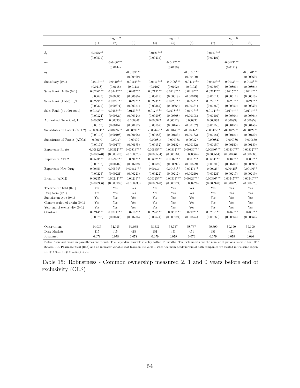|                                  | $\text{Lag} = 2$ |              |              |              | $\text{Lag} = 1$ |              | $\text{Lag} = 0$ |              |              |
|----------------------------------|------------------|--------------|--------------|--------------|------------------|--------------|------------------|--------------|--------------|
|                                  | (1)              | (2)          | (3)          | (4)          | (5)              | (6)          | (7)              | (8)          | (9)          |
|                                  |                  |              |              |              |                  |              |                  |              |              |
| $\delta_S$                       | $-0.0127**$      |              |              | $-0.0121***$ |                  |              | $-0.0127***$     |              |              |
|                                  | (0.00501)        |              |              | (0.00437)    |                  |              | (0.00404)        |              |              |
| $\delta_C$                       |                  | $-0.0466***$ |              |              | $-0.0422***$     |              |                  | $-0.0423***$ |              |
|                                  |                  | (0.0144)     |              |              | (0.0130)         |              |                  | (0.0121)     |              |
| $\delta_L$                       |                  |              | $-0.0169***$ |              |                  | $-0.0166***$ |                  |              | $-0.0170***$ |
|                                  |                  |              | (0.00469)    |              |                  | (0.00400)    |                  |              | (0.00369)    |
| Subsidiary $(0/1)$               | $-0.0413***$     | $-0.0410***$ | $-0.0412***$ | $-0.0411***$ | $-0.0406***$     | $-0.0411***$ | $-0.0450***$     | $-0.0443***$ | $-0.0448***$ |
|                                  | (0.0118)         | (0.0118)     | (0.0118)     | (0.0102)     | (0.0102)         | (0.0102)     | (0.00896)        | (0.00893)    | (0.00894)    |
| Sales Rank $(1-10)$ $(0/1)$      | $0.0246***$      | $0.0247***$  | $0.0247***$  | $0.0219***$  | $0.0219***$      | $0.0218***$  | $0.0214***$      | $0.0215***$  | $0.0214***$  |
|                                  | (0.00685)        | (0.00685)    | (0.00685)    | (0.00619)    | (0.00619)        | (0.00619)    | (0.00611)        | (0.00611)    | (0.00610)    |
| Sales Rank $(11-50)$ $(0/1)$     | $0.0229***$      | $0.0229***$  | $0.0229***$  | $0.0223***$  | $0.0223***$      | $0.0224***$  | $0.0220***$      | $0.0220***$  | $0.0221***$  |
|                                  | (0.00371)        | (0.00371)    | (0.00371)    | (0.00364)    | (0.00364)        | (0.00364)    | (0.00360)        | (0.00359)    | (0.00359)    |
| Sales Rank $(51-100)$ $(0/1)$    | $0.0153***$      | $0.0153***$  | $0.0153***$  | $0.0177***$  | $0.0178***$      | $0.0177***$  | $0.0174***$      | $0.0175***$  | $0.0174***$  |
|                                  | (0.00324)        | (0.00324)    | (0.00324)    | (0.00308)    | (0.00308)        | (0.00308)    | (0.00304)        | (0.00304)    | (0.00304)    |
| Authorized Generic $(0/1)$       | 0.000957         | 0.000936     | 0.000947     | 0.000922     | 0.000928         | 0.000930     | 0.000863         | 0.000838     | 0.000858     |
|                                  | (0.00157)        | (0.00157)    | (0.00157)    | (0.00152)    | (0.00152)        | (0.00152)    | (0.00150)        | (0.00150)    | (0.00150)    |
| Substitutes on Patent (ATC2)     | $-0.00394**$     | $-0.00397**$ | $-0.00391**$ | $-0.00445**$ | $-0.00448**$     | $-0.00444**$ | $-0.00427**$     | $-0.00427**$ | $-0.00429**$ |
|                                  | (0.00198)        | (0.00198)    | (0.00198)    | (0.00183)    | (0.00183)        | (0.00183)    | (0.00181)        | (0.00181)    | (0.00180)    |
| Substitutes off Patent (ATC2)    | $-0.00177$       | $-0.00177$   | $-0.00179$   | $-0.000814$  | $-0.000788$      | $-0.000827$  | $-0.000827$      | $-0.000786$  | $-0.000839$  |
|                                  | (0.00175)        | (0.00175)    | (0.00175)    | (0.00152)    | (0.00152)        | (0.00152)    | (0.00150)        | (0.00150)    | (0.00150)    |
| Experience Route                 | $0.00812***$     | $0.00812***$ | $0.00813***$ | $0.00835***$ | $0.00834***$     | $0.00836***$ | $0.00830***$     | $0.00830***$ | $0.00832***$ |
|                                  | (0.000570)       | (0.000570)   | (0.000570)   | (0.000564)   | (0.000564)       | (0.000564)   | (0.000564)       | (0.000564)   | (0.000565)   |
| Experience ATC2                  | $0.0593***$      | $0.0592***$  | $0.0591***$  | $0.0602***$  | $0.0602***$      | $0.0601***$  | $0.0604***$      | $0.0604***$  | $0.0603***$  |
|                                  | (0.00702)        | (0.00702)    | (0.00702)    | (0.00699)    | (0.00699)        | (0.00699)    | (0.00700)        | (0.00700)    | (0.00699)    |
| <b>Experience New Drug</b>       | $0.00553**$      | $0.00564**$  | $0.00587***$ | $0.00434*$   | $0.00431**$      | $0.00475**$  | $0.00425*$       | $0.00415*$   | $0.00466**$  |
|                                  | (0.00225)        | (0.00221)    | (0.00223)    | (0.00222)    | (0.00217)        | (0.00219)    | (0.00221)        | (0.00217)    | (0.00219)    |
| Breadth (ATC2)                   | $0.00235**$      | $0.00244***$ | $0.00239**$  | $0.00325***$ | $0.00333***$     | $0.00329***$ | $0.00336***$     | $0.00345***$ | $0.00340***$ |
|                                  | (0.000936)       | (0.000938)   | (0.000935)   | (0.000920)   | (0.000924)       | (0.000920)   | (0.000920)       | (0.000923)   | (0.000920)   |
| Therapeutic field $(0/1)$        | Yes              | Yes          | Yes          | Yes          | Yes              | Yes          | Yes              | Yes          | Yes          |
| Drug form $(0/1)$                | Yes              | Yes          | Yes          | Yes          | Yes              | Yes          | Yes              | Yes          | Yes          |
| Submission type $(0/1)$          | Yes              | Yes          | Yes          | Yes          | Yes              | Yes          | Yes              | Yes          | Yes          |
| Generic region of origin $(0/1)$ | Yes              | Yes          | Yes          | Yes          | Yes              | Yes          | Yes              | Yes          | Yes          |
| Year end of exclusivity $(0/1)$  | Yes              | Yes          | Yes          | Yes          | Yes              | Yes          | Yes              | Yes          | Yes          |
| Constant                         | $0.0214***$      | $0.0211***$  | $0.0210***$  | $0.0296***$  | $0.00333***$     | $0.0292***$  | $0.0287***$      | $0.0282***$  | $0.0283***$  |
|                                  | (0.00736)        | (0.00736)    | (0.00735)    | (0.00674)    | (0.000924)       | (0.00674)    | (0.00665)        | (0.00664)    | (0.00664)    |
| Observations                     | 54,035           | 54,035       | 54,035       | 58,737       | 58,737           | 58,737       | 59,390           | 59,390       | 59,390       |
| Drug Markets                     | 415              | 415          | 415          | 451          | 451              | 451          | 451              | 451          | 451          |
| R-squared                        | 0.078            | 0.078        | 0.078        | 0.079        | 0.079            | 0.079        | 0.079            | 0.079        | 0.080        |

Notes: Standard errors in parentheses are robust. The dependent variable is entry within 18 months. The instruments are the number of periods listed in the ETF iShares U.S. Pharmaceutical (IHE) and an indicator variable that takes on the value 1 when the main headquarters of both companies are located in the same region.  $\ast \ast \ast p < 0.01, \ast \ast \, p < 0.05, \ast p < 0.1.$ 

Table 15: Robustness - Common ownership measured 2, 1 and 0 years before end of exclusivity (OLS)